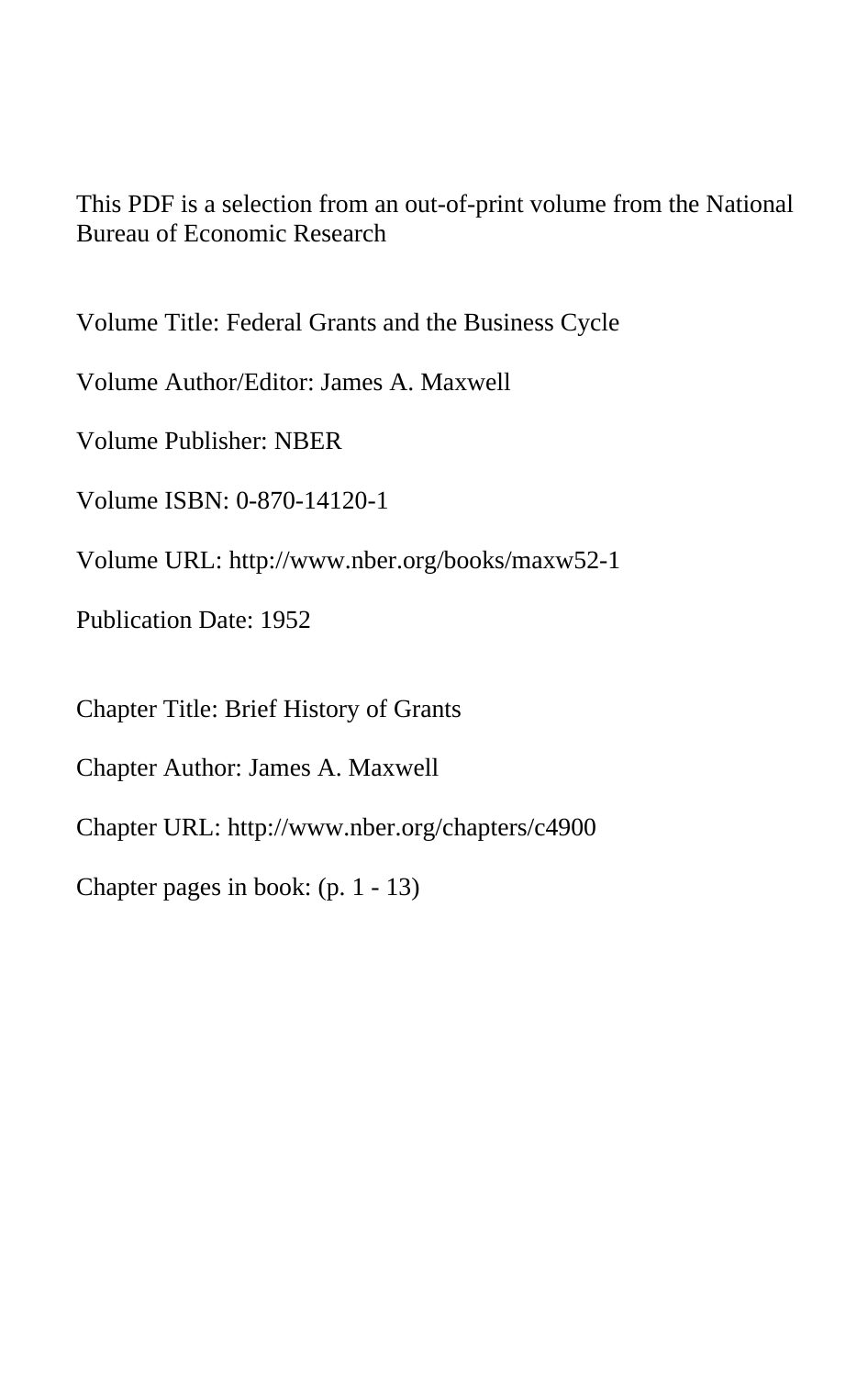This PDF is a selection from an out-of-print volume from the National Bureau of Economic Research

Volume Title: Federal Grants and the Business Cycle

Volume Author/Editor: James A. Maxwell

Volume Publisher: NBER

Volume ISBN: 0-870-14120-1

Volume URL: http://www.nber.org/books/maxw52-1

Publication Date: 1952

Chapter Title: Brief History of Grants

Chapter Author: James A. Maxwell

Chapter URL: http://www.nber.org/chapters/c4900

Chapter pages in book: (p. 1 - 13)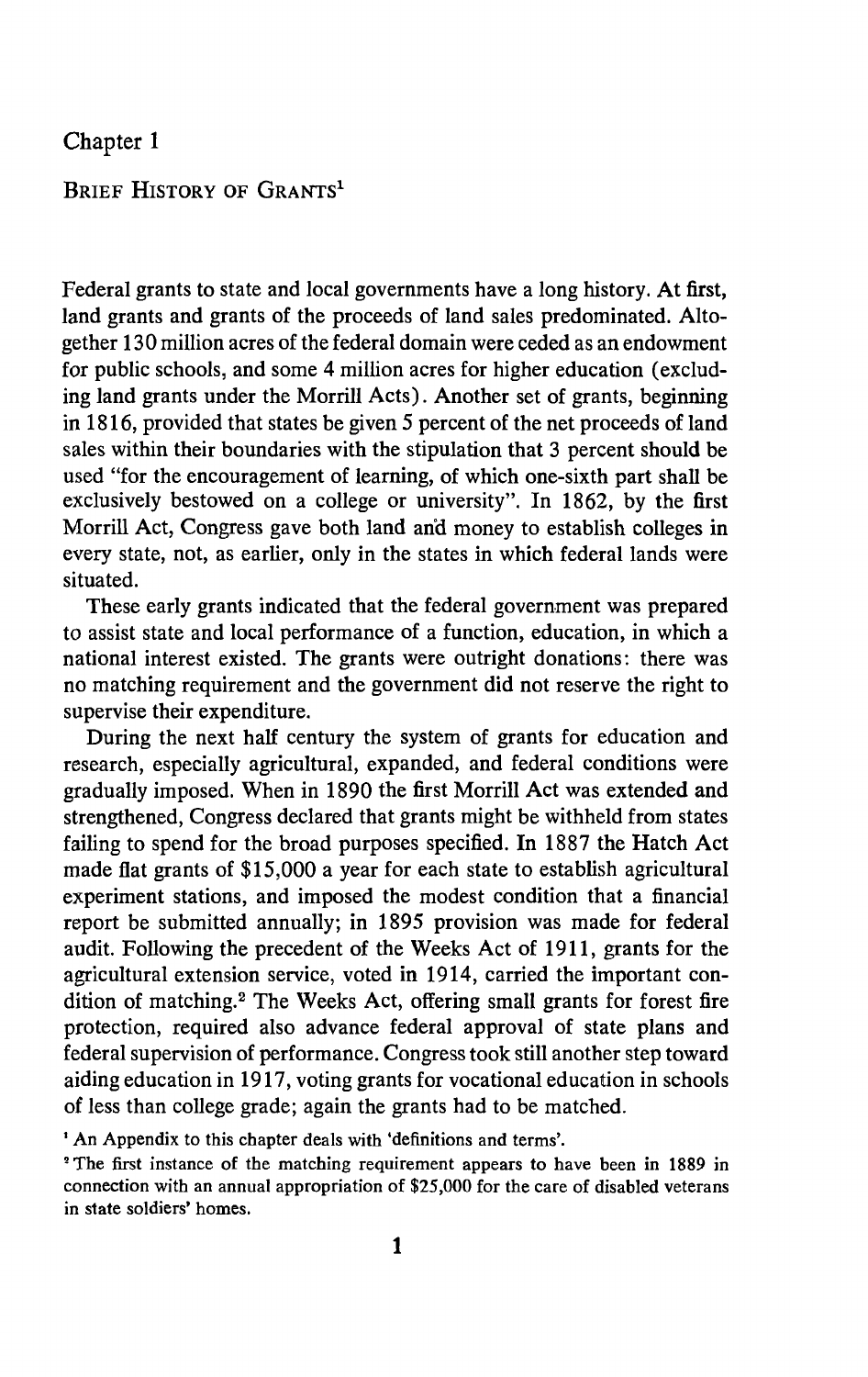# Chapter 1

# BRIEF HISTORY OF GRANTS'

Federal grants to state and local governments have a long history. At first, land grants and grants of the proceeds of land sales predominated. Altogether 130 million acres of the federal domain were ceded as an endowment for public schools, and some 4 million acres for higher education (excluding land grants under the Morrill Acts). Another set of grants, beginning in 1816, provided that states be given 5 percent of the net proceeds of land sales within their boundaries with the stipulation that 3 percent should be used "for the encouragement of learning, of which one-sixth part shall be exclusively bestowed on a college or university". In 1862, by the first Morrill Act, Congress gave both land money to establish colleges in every state, not, as earlier, only in the states in which federal lands were situated.

These early grants indicated that the federal government was prepared to assist state and local performance of a function, education, in which a national interest existed. The grants were outright donations: there was no matching requirement and the government did not reserve the right to supervise their expenditure.

During the next half century the system of grants for education and research, especially agricultural, expanded, and federal conditions were gradually imposed. When in 1890 the first Morrill Act was extended and strengthened, Congress declared that grants might be withheld from states failing to spend for the broad purposes specified. In 1887 the Hatch Act made flat grants of \$15,000 a year for each state to establish agricultural experiment stations, and imposed the modest condition that a financial report be submitted annually; in 1895 provision was made for federal audit. Following the precedent of the Weeks Act of 1911, grants for the agricultural extension service, voted in 1914, carried the important condition of matching.2 The Weeks Act, offering small grants for forest fire protection, required also advance federal approval of state plans and federal supervision of performance. Congress took still another step toward aiding education in 1917, voting grants for vocational education in schools of less than college grade; again the grants had to be matched.

'An Appendix to this chapter deals with 'definitions and terms'.

The first instance of the matching requirement appears to have been in 1889 in connection with an annual appropriation of \$25,000 for the care of disabled veterans in state soldiers' homes.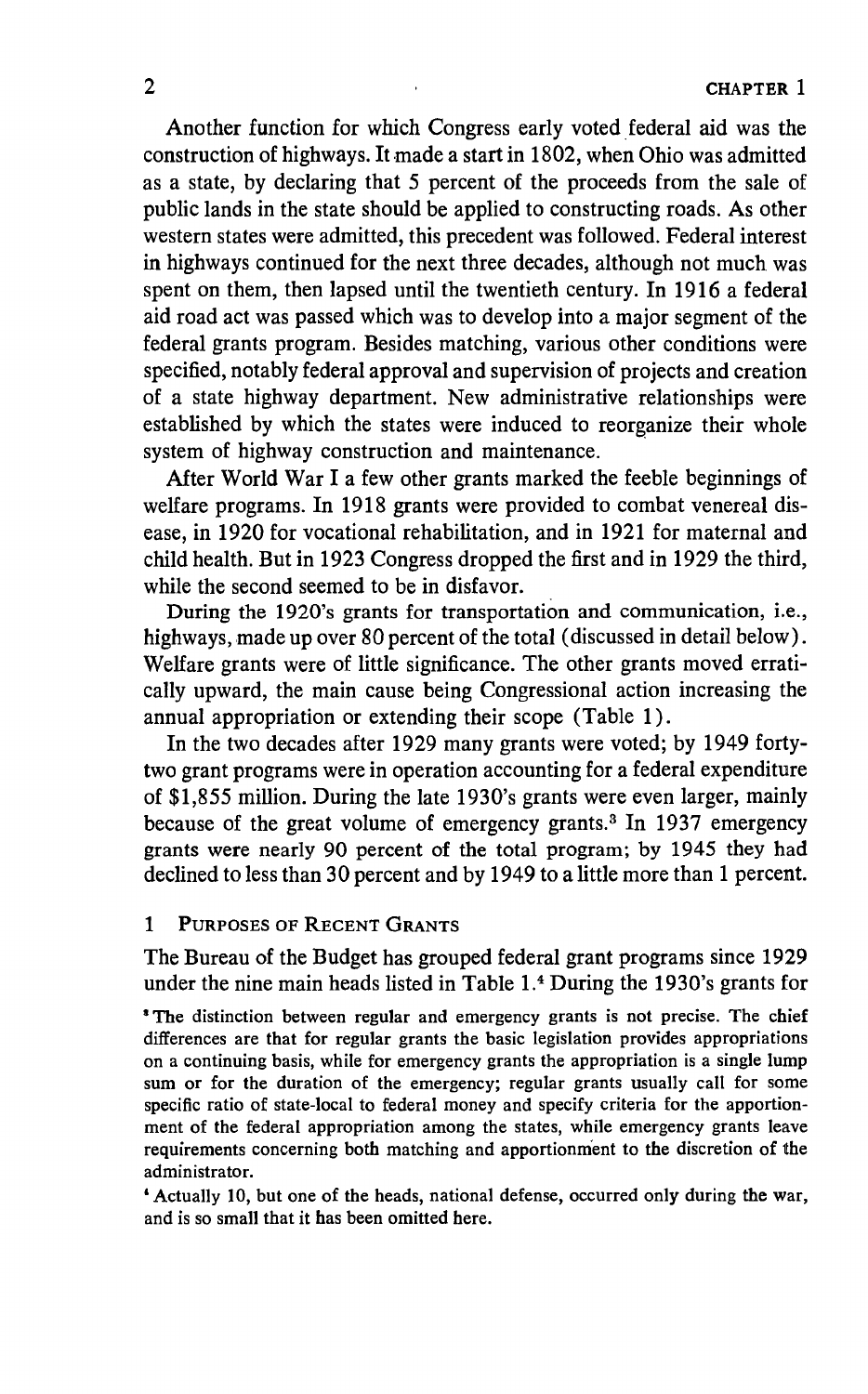Another function for which Congress early voted federal aid was the construction of highways. It made a start in 1802, when Ohio was admitted as a state, by declaring that 5 percent of the proceeds from the sale of public lands in the state should be applied to constructing roads. As other western states were admitted, this precedent was followed. Federal interest in highways continued for the next three decades, although not much was spent on them, then lapsed until the twentieth century. In 1916 a federal aid road act was passed which was to develop into a major segment of the federal grants program. Besides matching, various other conditions were specified, notably federal approval and supervision of projects and creation of a state highway department. New administrative relationships were established by which the states were induced to reorganize their whole system of highway construction and maintenance.

After World War I a few other grants marked the feeble beginnings of welfare programs. In 1918 grants were provided to combat venereal disease, in 1920 for vocational rehabilitation, and in 1921 for maternal and child health. But in 1923 Congress dropped the first and in 1929 the third, while the second seemed to be in disfavor.

During the 1920's grants for transportation and communication, i.e., highways, made up over 80 percent of the total (discussed in detail below). Welfare grants were of little significance. The other grants moved erratically upward, the main cause being Congressional action increasing the annual appropriation or extending their scope (Table 1).

In the two decades after 1929 many grants were voted; by 1949 fortytwo grant programs were in operation accounting for a federal expenditure of \$1,855 million. During the late 1930's grants were even larger, mainly because of the great volume of emergency grants.3 In 1937 emergency grants were nearly 90 percent of the total program; by 1945 they had declined to less than 30 percent and by 1949 to a little more than 1 percent.

### 1 PURPOSES OF RECENT GRANTS

The Bureau of the Budget has grouped federal grant programs since 1929 under the nine main heads listed in Table  $1.4$  During the 1930's grants for

'The distinction between regular and emergency grants is not precise. The chief differences are that for regular grants the basic legislation provides appropriations on a continuing basis, while for emergency grants the appropriation is a single lump sum or for the duration of the emergency; regular grants usually call for some specific ratio of state-local to federal money and specify criteria for the apportionment of the federal appropriation among the states, while emergency grants leave requirements concerning both matching and apportionment to the discretion of the administrator.

'Actually 10, but one of the heads, national defense, occurred only during the war, and is so small that it has been omitted here.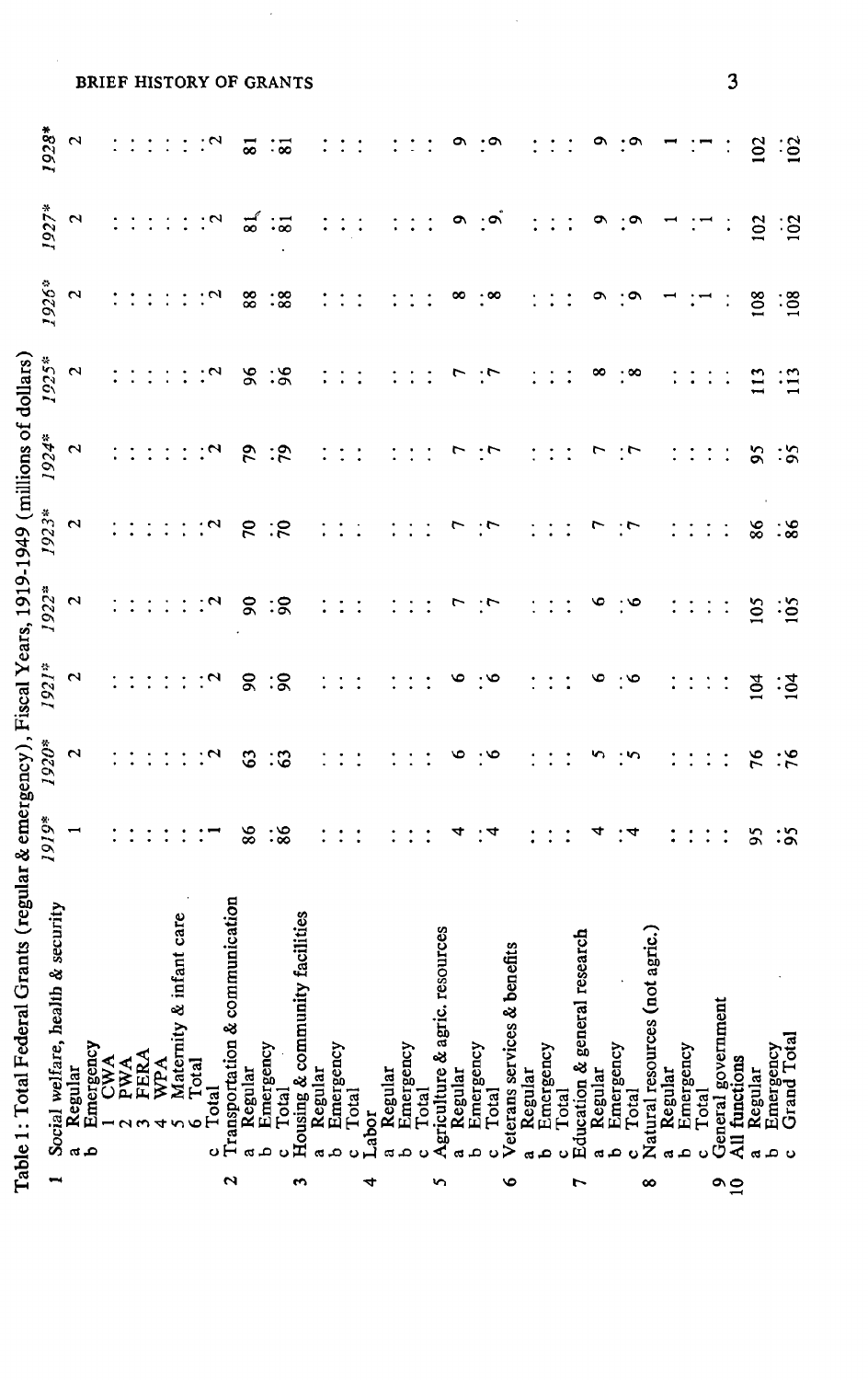|          | Table 1: Total Federal Grants (regular & emergency), Fiscal Years, 1919-1949 (millions of dollars) |                                                   |                      |                    |                |                    |                   |                      |                   |                      |                          |                         |
|----------|----------------------------------------------------------------------------------------------------|---------------------------------------------------|----------------------|--------------------|----------------|--------------------|-------------------|----------------------|-------------------|----------------------|--------------------------|-------------------------|
| ⊷        | Social welfare, health & security                                                                  | 1919*                                             | 1920*                | 1921*              | 1922*          | 1923*              | 1924 <sup>*</sup> | 1925*                | 1926 <sup>8</sup> | 1927*                | 1928*                    |                         |
|          | Regular<br>$\alpha$                                                                                |                                                   | $\mathbf{\hat{c}}$   | $\mathbf{\hat{z}}$ | $\mathbf{c}$   | $\mathbf{\hat{c}}$ | $\mathbf{\Omega}$ | $\mathbf{\tilde{c}}$ | 2                 | 2                    | $\mathbf{\tilde{c}}$     |                         |
|          | Emergency<br>1 CWA<br>2 PWA<br>3 FERA                                                              |                                                   |                      |                    |                |                    |                   |                      |                   |                      |                          |                         |
|          |                                                                                                    |                                                   |                      |                    |                |                    |                   |                      |                   |                      |                          |                         |
|          |                                                                                                    |                                                   |                      |                    |                |                    |                   |                      |                   |                      |                          |                         |
|          |                                                                                                    |                                                   | $\ddot{\phantom{a}}$ |                    | $\ddot{\cdot}$ | $\ddot{\cdot}$     |                   | $\ddot{\cdot}$       |                   | $\ddot{\cdot}$       | $\ddot{\cdot}$           |                         |
|          | WPA                                                                                                |                                                   | $\ddot{\cdot}$       | $\ddot{\cdot}$     | $\ddot{\cdot}$ | $\ddot{\cdot}$     |                   | ÷                    | ÷                 | ÷,                   |                          |                         |
|          | Maternity & infant care                                                                            |                                                   | $\ddot{\cdot}$       | $\ddot{\cdot}$     | $\ddot{\cdot}$ | $\ddot{\cdot}$     |                   | $\ddot{\cdot}$       | $\ddot{\cdot}$    | $\vdots$             | $\ddot{\cdot}$           |                         |
|          | Total<br>Total<br>۰                                                                                |                                                   | $\cdot$ $\sim$       | $\cdot$ $\sim$     | $\cdot$ $\sim$ | $\cdot$ $\sim$     | $\cdot$           | $\cdot$ $\sim$       | ंज                | $\cdot$              | $\cdot$ $\sim$           | BRIEF HISTORY OF GRANTS |
| N        | Transportation & communication                                                                     |                                                   |                      |                    |                |                    |                   |                      |                   |                      |                          |                         |
|          | Regular<br>a                                                                                       | 86                                                | 63                   | g                  | $\overline{6}$ | $\mathcal{L}$      | 29                | $\frac{8}{3}$        | 88                | $\tilde{a}$          | $\overline{\phantom{0}}$ |                         |
|          | Emergency<br>م                                                                                     |                                                   |                      |                    |                |                    |                   |                      |                   |                      |                          |                         |
|          | Total<br>ں                                                                                         | $\ddot{\phantom{0}}\phantom{0}\ddot{\phantom{0}}$ | $\ddot{3}$           | :కె                | :္လ            | ंट                 | $\ddot{.}8$       | $\ddot{5}$           | $\frac{1}{8}$     | $\ddot{\phantom{0}}$ | $\ddot{\mathbf{3}}$      |                         |
| S        | Housing & community facilities                                                                     |                                                   |                      |                    |                |                    |                   |                      |                   |                      |                          |                         |
|          | $\mathbf{\alpha}$                                                                                  |                                                   | $\vdots$             | $\ddot{\cdot}$     | $\ddot{\cdot}$ |                    |                   | $\ddot{\cdot}$       |                   |                      |                          |                         |
|          | Regular<br>Emergency<br>م                                                                          | $\ddot{\cdot}$                                    | $\ddot{\cdot}$       | $\ddot{\cdot}$     | $\ddot{\cdot}$ | $\ddot{\cdot}$     |                   | $\ddot{.}$           | $\ddot{\cdot}$    | $\ddot{\cdot}$       |                          |                         |
|          | Total                                                                                              | $\ddot{\cdot}$                                    |                      |                    |                | $\ddot{\cdot}$     |                   | $\ddot{\cdot}$       | $\ddot{\cdot}$    | $\ddot{\cdot}$       |                          |                         |
| d        | Labor                                                                                              |                                                   |                      |                    |                |                    |                   |                      |                   |                      |                          |                         |
|          | Regular<br>αđ                                                                                      |                                                   |                      |                    |                |                    |                   |                      |                   |                      |                          |                         |
|          | Emergency<br>م                                                                                     | $\ddot{\cdot}$                                    | $\ddot{\cdot}$       | $\ddot{\cdot}$     |                | $\ddot{\cdot}$     |                   | $\ddot{\cdot}$       | $\ddot{\cdot}$    | $\ddot{\cdot}$       |                          |                         |
|          | Total                                                                                              | $\ddot{\cdot}$                                    | $\ddot{\cdot}$       |                    |                | $\ddot{\cdot}$     |                   | $\ddot{\cdot}$       | $\ddot{\cdot}$    | $\ddot{\cdot}$       |                          |                         |
| n        | Agriculture & agric. resources                                                                     |                                                   |                      |                    | ŗ              |                    | ٣                 |                      |                   |                      |                          |                         |
|          | Regular<br>Emergency                                                                               | 4                                                 | ۴                    | ڡ                  |                | r                  |                   |                      | ∞                 | ۵                    | ື                        |                         |
|          | Total<br>م                                                                                         | 4                                                 | $\cdot$ $\circ$      | $\cdot^{\circ}$    | $\cdot$        | $\cdot$            | $\cdot$ r         | $\cdot$              | $\cdot^{\infty}$  | ِّهِ :               | $\cdot \circ$            |                         |
| ৩        | Veterans services & benefits                                                                       |                                                   |                      |                    |                |                    |                   |                      |                   |                      |                          |                         |
|          |                                                                                                    |                                                   |                      |                    |                |                    |                   |                      |                   |                      |                          |                         |
|          | Regular<br>Emergency<br>م                                                                          |                                                   |                      |                    |                |                    |                   |                      |                   |                      |                          |                         |
|          | Total                                                                                              | $\ddot{\cdot}$                                    | $\ddot{\cdot}$       | $\ddot{\cdot}$     | $\vdots$       | $\ddot{\cdot}$     |                   | $\vdots$             | $\ddot{\cdot}$    | $\ddot{\cdot}$       | $\ddot{\cdot}$           |                         |
| r        | Education & general research                                                                       |                                                   | $\ddot{\cdot}$       | $\ddot{\cdot}$     | $\ddot{\cdot}$ | $\ddot{\cdot}$     |                   | $\ddot{\cdot}$       | $\ddot{\cdot}$    | $\ddot{\cdot}$       |                          |                         |
|          |                                                                                                    | 4                                                 | n                    | ۰                  | ۰              | r                  |                   | ∞                    | ō                 | ۰                    | o,                       |                         |
|          | Regular<br>Emergency<br>م                                                                          |                                                   |                      |                    |                |                    |                   |                      |                   |                      |                          |                         |
|          | Total<br>$\ddot{\mathbf{c}}$                                                                       | : 4                                               | $\cdot$              | ه∙;                | : ७            | $\cdot$            | ۰,                | $\cdot^{\infty}$     | $: \circ$         | $: \circ$            | $: \circ$                |                         |
| ∞        | Natural resources (not agric.)                                                                     |                                                   |                      |                    |                |                    |                   |                      |                   |                      |                          |                         |
|          | Regular<br>Emergency                                                                               |                                                   |                      |                    |                |                    |                   | $\ddot{\cdot}$       |                   |                      |                          |                         |
|          | م                                                                                                  | $\ddot{\cdot}$                                    |                      | $\ddot{\cdot}$     | $\ddot{\cdot}$ | $\ddot{\cdot}$     | $\ddot{\cdot}$    | $\ddot{\cdot}$       |                   |                      |                          |                         |
|          | Total                                                                                              | $\ddot{\cdot}$                                    | $\ddot{\cdot}$       | $\ddot{\cdot}$     | $\ddot{\cdot}$ | $\ddot{\cdot}$     |                   | $\ddot{\cdot}$       |                   |                      |                          |                         |
| $\Omega$ | ment<br>General governi<br>All functions                                                           | $\ddot{\cdot}$                                    | $\ddot{\cdot}$       | $\ddot{\cdot}$     | $\ddot{\cdot}$ | $\ddot{\cdot}$     | $\ddot{\cdot}$    | $\ddot{\cdot}$       | $\ddot{\cdot}$    |                      |                          | Ĵ                       |
|          |                                                                                                    |                                                   |                      |                    |                |                    |                   |                      |                   |                      |                          |                         |
|          | م<br>$\mathbf{\alpha}$                                                                             | 56                                                | 76                   | 104                | 105            | 86                 | SS                | 113                  | 108               | 102                  | 102                      |                         |
|          | Regular<br>Emergency<br>Grand Total<br>ల                                                           | $\ddot{\text{o}}$                                 | $\ddot{5}$           | :ड्र               | $\vdots$       | $\frac{1}{8}$      | $\frac{5}{5}$     | $\frac{1}{13}$       | $\frac{108}{108}$ | $\ddot{\text{e}}$    | $\frac{1}{2}$            |                         |
|          |                                                                                                    |                                                   |                      |                    |                |                    |                   |                      |                   |                      |                          |                         |
|          |                                                                                                    |                                                   |                      |                    |                |                    |                   |                      |                   |                      |                          |                         |
|          |                                                                                                    |                                                   |                      |                    |                |                    |                   |                      |                   |                      |                          |                         |
|          |                                                                                                    |                                                   |                      |                    |                |                    |                   |                      |                   |                      |                          |                         |

 $\cdot$ 

 $\overline{\mathbf{3}}$ 

 $\overline{\phantom{a}}$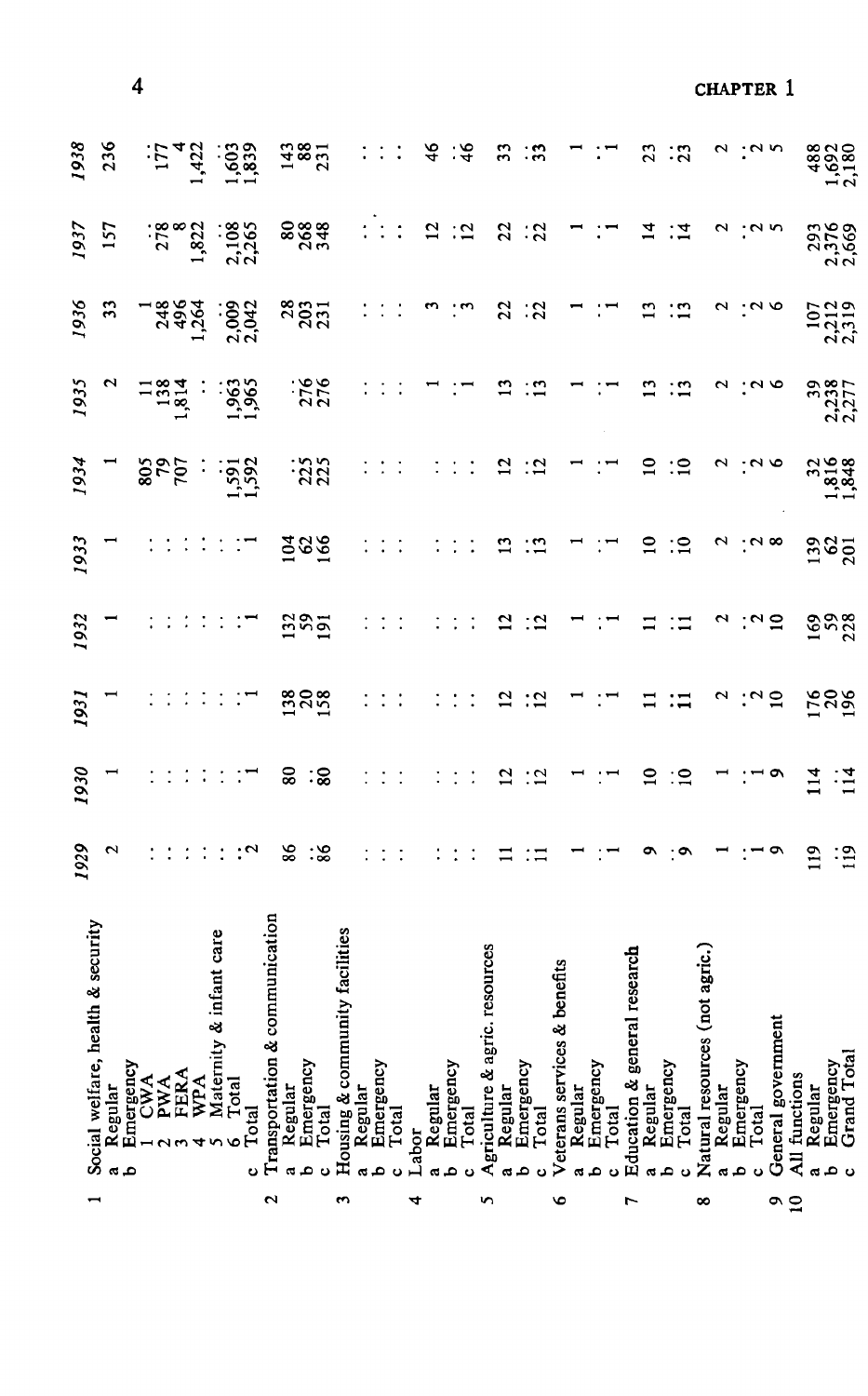| <b>8888</b><br>22<br>2,108<br>$\overline{12}$<br>$\frac{1}{2}$<br>293<br>2,5569<br><b>157</b><br>1,822<br><u>:ក</u><br>$\overline{1}$<br>$\frac{1}{4}$<br>N<br>278<br><b>28331</b><br>$\frac{107}{2,319}$<br>248<br>496<br>1,264<br>$\overline{22}$<br>$\frac{1}{2}$<br>13<br>$\ddot{5}$<br>N<br>$\sim$<br>2,003<br>2,042<br>m<br>1,963<br>1,965<br>276<br>276<br>39<br>2,238<br>7,277<br>N<br>: "<br>$\cdot$ 90<br>1,814<br>32<br>1,816<br>1,848<br>$\frac{25}{225}$<br>$\mathbf{r}$<br>∶≘<br>$\sim$<br>$1,591$<br>$1,592$<br>$\overline{c}$<br>:2<br>$\sim$<br><b>925</b><br>86<br>$\bar{5}8\bar{8}$<br>$\overline{10}$<br>∶≘<br>$\sim$<br>$\cdot$ $\sim$ $\infty$<br>$\frac{38}{201}$<br>$\frac{285}{2}$<br>169<br>228<br>N<br>∴ຕ Ξ<br>$\overline{12}$<br>$\ddot{5}$<br>$\div \Xi$<br>Ξ<br><b>1282</b><br><b>3802</b><br>∴∾ ສ<br>$\overline{c}$<br>$\ddot{2}$<br>N<br>$\Xi$<br>∷≍<br>80<br>:జ<br>114<br>$\frac{14}{11}$<br>$\overline{12}$<br>$\frac{1}{2}$<br>$\Xi$<br>∷⊂<br>י ס<br>86<br>$\ddot{\text{.}}\text{8}$<br>$\sim$<br>$\cdot$<br>119<br>$\ddot{\cdot}$<br>$\ddot{\phantom{1}}$<br>ه -<br>و:<br>¤<br>∶≍<br>Transportation & communication<br>s<br>Maternity & infant care<br>Housing & community facilitie<br>Agriculture & agric. resources<br>Natural resources (not agric.)<br>Education & general research<br>Veterans services & benefits<br>General government<br>Emergency<br>Grand Total<br>Regular<br>Emergency<br>Regular<br>Emergency<br>Emergency<br>Total<br>Emergency<br>Emergency<br>Emergency<br>Emergency<br>Total<br>Emergency<br>1 CWA<br><b>FERA</b><br>All functions<br>WPA<br>Total<br><b>PWA</b><br>Regular<br>Regular<br>Regular<br>Regular<br>Regular<br>Regular<br>Regular<br>Total<br>Total<br>Total<br>Total<br>Total<br>Total<br>Labor<br>١o<br>$\tilde{a}$<br>d<br>م<br>م<br>å,<br>ပ<br>ά,<br>م<br>ω<br>٥<br>ء<br>$\mathbf{o}$<br>ă<br>ပ<br>$\epsilon$<br>$\overline{\mathbf{c}}$<br>S<br>$\circ$<br>4<br>n<br>৩<br>∞<br>L |                          |                                       | 1929 | 1930 | 1931 | 1932 | 1933 | 1934 | 1935 | 1936 | 1937 | 1938                  |                  |
|------------------------------------------------------------------------------------------------------------------------------------------------------------------------------------------------------------------------------------------------------------------------------------------------------------------------------------------------------------------------------------------------------------------------------------------------------------------------------------------------------------------------------------------------------------------------------------------------------------------------------------------------------------------------------------------------------------------------------------------------------------------------------------------------------------------------------------------------------------------------------------------------------------------------------------------------------------------------------------------------------------------------------------------------------------------------------------------------------------------------------------------------------------------------------------------------------------------------------------------------------------------------------------------------------------------------------------------------------------------------------------------------------------------------------------------------------------------------------------------------------------------------------------------------------------------------------------------------------------------------------------------------------------------------------------------------------------------------------------------------------------------------------------------------------------------------------------------------------------------------------------------------------------------------------------------------------------------------|--------------------------|---------------------------------------|------|------|------|------|------|------|------|------|------|-----------------------|------------------|
|                                                                                                                                                                                                                                                                                                                                                                                                                                                                                                                                                                                                                                                                                                                                                                                                                                                                                                                                                                                                                                                                                                                                                                                                                                                                                                                                                                                                                                                                                                                                                                                                                                                                                                                                                                                                                                                                                                                                                                        | $\overline{\phantom{0}}$ | È.<br>Social welfare, health & securi |      |      |      |      |      |      |      |      |      |                       |                  |
|                                                                                                                                                                                                                                                                                                                                                                                                                                                                                                                                                                                                                                                                                                                                                                                                                                                                                                                                                                                                                                                                                                                                                                                                                                                                                                                                                                                                                                                                                                                                                                                                                                                                                                                                                                                                                                                                                                                                                                        |                          |                                       |      |      |      |      |      |      |      |      |      | 236                   |                  |
|                                                                                                                                                                                                                                                                                                                                                                                                                                                                                                                                                                                                                                                                                                                                                                                                                                                                                                                                                                                                                                                                                                                                                                                                                                                                                                                                                                                                                                                                                                                                                                                                                                                                                                                                                                                                                                                                                                                                                                        |                          |                                       |      |      |      |      |      |      |      |      |      |                       | 4                |
|                                                                                                                                                                                                                                                                                                                                                                                                                                                                                                                                                                                                                                                                                                                                                                                                                                                                                                                                                                                                                                                                                                                                                                                                                                                                                                                                                                                                                                                                                                                                                                                                                                                                                                                                                                                                                                                                                                                                                                        |                          |                                       |      |      |      |      |      |      |      |      |      | ίŗί                   |                  |
|                                                                                                                                                                                                                                                                                                                                                                                                                                                                                                                                                                                                                                                                                                                                                                                                                                                                                                                                                                                                                                                                                                                                                                                                                                                                                                                                                                                                                                                                                                                                                                                                                                                                                                                                                                                                                                                                                                                                                                        |                          |                                       |      |      |      |      |      |      |      |      |      |                       |                  |
|                                                                                                                                                                                                                                                                                                                                                                                                                                                                                                                                                                                                                                                                                                                                                                                                                                                                                                                                                                                                                                                                                                                                                                                                                                                                                                                                                                                                                                                                                                                                                                                                                                                                                                                                                                                                                                                                                                                                                                        |                          |                                       |      |      |      |      |      |      |      |      |      |                       |                  |
|                                                                                                                                                                                                                                                                                                                                                                                                                                                                                                                                                                                                                                                                                                                                                                                                                                                                                                                                                                                                                                                                                                                                                                                                                                                                                                                                                                                                                                                                                                                                                                                                                                                                                                                                                                                                                                                                                                                                                                        |                          |                                       |      |      |      |      |      |      |      |      |      | 1,422                 |                  |
|                                                                                                                                                                                                                                                                                                                                                                                                                                                                                                                                                                                                                                                                                                                                                                                                                                                                                                                                                                                                                                                                                                                                                                                                                                                                                                                                                                                                                                                                                                                                                                                                                                                                                                                                                                                                                                                                                                                                                                        |                          |                                       |      |      |      |      |      |      |      |      |      |                       |                  |
|                                                                                                                                                                                                                                                                                                                                                                                                                                                                                                                                                                                                                                                                                                                                                                                                                                                                                                                                                                                                                                                                                                                                                                                                                                                                                                                                                                                                                                                                                                                                                                                                                                                                                                                                                                                                                                                                                                                                                                        |                          |                                       |      |      |      |      |      |      |      |      |      | 1,603<br>1,839        |                  |
|                                                                                                                                                                                                                                                                                                                                                                                                                                                                                                                                                                                                                                                                                                                                                                                                                                                                                                                                                                                                                                                                                                                                                                                                                                                                                                                                                                                                                                                                                                                                                                                                                                                                                                                                                                                                                                                                                                                                                                        |                          |                                       |      |      |      |      |      |      |      |      |      |                       |                  |
|                                                                                                                                                                                                                                                                                                                                                                                                                                                                                                                                                                                                                                                                                                                                                                                                                                                                                                                                                                                                                                                                                                                                                                                                                                                                                                                                                                                                                                                                                                                                                                                                                                                                                                                                                                                                                                                                                                                                                                        |                          |                                       |      |      |      |      |      |      |      |      |      |                       |                  |
|                                                                                                                                                                                                                                                                                                                                                                                                                                                                                                                                                                                                                                                                                                                                                                                                                                                                                                                                                                                                                                                                                                                                                                                                                                                                                                                                                                                                                                                                                                                                                                                                                                                                                                                                                                                                                                                                                                                                                                        |                          |                                       |      |      |      |      |      |      |      |      |      | 143<br>88<br>23<br>1  |                  |
|                                                                                                                                                                                                                                                                                                                                                                                                                                                                                                                                                                                                                                                                                                                                                                                                                                                                                                                                                                                                                                                                                                                                                                                                                                                                                                                                                                                                                                                                                                                                                                                                                                                                                                                                                                                                                                                                                                                                                                        |                          |                                       |      |      |      |      |      |      |      |      |      |                       |                  |
|                                                                                                                                                                                                                                                                                                                                                                                                                                                                                                                                                                                                                                                                                                                                                                                                                                                                                                                                                                                                                                                                                                                                                                                                                                                                                                                                                                                                                                                                                                                                                                                                                                                                                                                                                                                                                                                                                                                                                                        |                          |                                       |      |      |      |      |      |      |      |      |      |                       |                  |
|                                                                                                                                                                                                                                                                                                                                                                                                                                                                                                                                                                                                                                                                                                                                                                                                                                                                                                                                                                                                                                                                                                                                                                                                                                                                                                                                                                                                                                                                                                                                                                                                                                                                                                                                                                                                                                                                                                                                                                        |                          |                                       |      |      |      |      |      |      |      |      |      |                       |                  |
|                                                                                                                                                                                                                                                                                                                                                                                                                                                                                                                                                                                                                                                                                                                                                                                                                                                                                                                                                                                                                                                                                                                                                                                                                                                                                                                                                                                                                                                                                                                                                                                                                                                                                                                                                                                                                                                                                                                                                                        |                          |                                       |      |      |      |      |      |      |      |      |      | $\bullet$             |                  |
|                                                                                                                                                                                                                                                                                                                                                                                                                                                                                                                                                                                                                                                                                                                                                                                                                                                                                                                                                                                                                                                                                                                                                                                                                                                                                                                                                                                                                                                                                                                                                                                                                                                                                                                                                                                                                                                                                                                                                                        |                          |                                       |      |      |      |      |      |      |      |      |      |                       |                  |
|                                                                                                                                                                                                                                                                                                                                                                                                                                                                                                                                                                                                                                                                                                                                                                                                                                                                                                                                                                                                                                                                                                                                                                                                                                                                                                                                                                                                                                                                                                                                                                                                                                                                                                                                                                                                                                                                                                                                                                        |                          |                                       |      |      |      |      |      |      |      |      |      |                       |                  |
|                                                                                                                                                                                                                                                                                                                                                                                                                                                                                                                                                                                                                                                                                                                                                                                                                                                                                                                                                                                                                                                                                                                                                                                                                                                                                                                                                                                                                                                                                                                                                                                                                                                                                                                                                                                                                                                                                                                                                                        |                          |                                       |      |      |      |      |      |      |      |      |      |                       |                  |
|                                                                                                                                                                                                                                                                                                                                                                                                                                                                                                                                                                                                                                                                                                                                                                                                                                                                                                                                                                                                                                                                                                                                                                                                                                                                                                                                                                                                                                                                                                                                                                                                                                                                                                                                                                                                                                                                                                                                                                        |                          |                                       |      |      |      |      |      |      |      |      |      | $\frac{6}{4}$         |                  |
|                                                                                                                                                                                                                                                                                                                                                                                                                                                                                                                                                                                                                                                                                                                                                                                                                                                                                                                                                                                                                                                                                                                                                                                                                                                                                                                                                                                                                                                                                                                                                                                                                                                                                                                                                                                                                                                                                                                                                                        |                          |                                       |      |      |      |      |      |      |      |      |      |                       |                  |
|                                                                                                                                                                                                                                                                                                                                                                                                                                                                                                                                                                                                                                                                                                                                                                                                                                                                                                                                                                                                                                                                                                                                                                                                                                                                                                                                                                                                                                                                                                                                                                                                                                                                                                                                                                                                                                                                                                                                                                        |                          |                                       |      |      |      |      |      |      |      |      |      | ء:'                   |                  |
|                                                                                                                                                                                                                                                                                                                                                                                                                                                                                                                                                                                                                                                                                                                                                                                                                                                                                                                                                                                                                                                                                                                                                                                                                                                                                                                                                                                                                                                                                                                                                                                                                                                                                                                                                                                                                                                                                                                                                                        |                          |                                       |      |      |      |      |      |      |      |      |      |                       |                  |
|                                                                                                                                                                                                                                                                                                                                                                                                                                                                                                                                                                                                                                                                                                                                                                                                                                                                                                                                                                                                                                                                                                                                                                                                                                                                                                                                                                                                                                                                                                                                                                                                                                                                                                                                                                                                                                                                                                                                                                        |                          |                                       |      |      |      |      |      |      |      |      |      |                       |                  |
|                                                                                                                                                                                                                                                                                                                                                                                                                                                                                                                                                                                                                                                                                                                                                                                                                                                                                                                                                                                                                                                                                                                                                                                                                                                                                                                                                                                                                                                                                                                                                                                                                                                                                                                                                                                                                                                                                                                                                                        |                          |                                       |      |      |      |      |      |      |      |      |      | 33                    |                  |
|                                                                                                                                                                                                                                                                                                                                                                                                                                                                                                                                                                                                                                                                                                                                                                                                                                                                                                                                                                                                                                                                                                                                                                                                                                                                                                                                                                                                                                                                                                                                                                                                                                                                                                                                                                                                                                                                                                                                                                        |                          |                                       |      |      |      |      |      |      |      |      |      | း                     |                  |
|                                                                                                                                                                                                                                                                                                                                                                                                                                                                                                                                                                                                                                                                                                                                                                                                                                                                                                                                                                                                                                                                                                                                                                                                                                                                                                                                                                                                                                                                                                                                                                                                                                                                                                                                                                                                                                                                                                                                                                        |                          |                                       |      |      |      |      |      |      |      |      |      |                       |                  |
|                                                                                                                                                                                                                                                                                                                                                                                                                                                                                                                                                                                                                                                                                                                                                                                                                                                                                                                                                                                                                                                                                                                                                                                                                                                                                                                                                                                                                                                                                                                                                                                                                                                                                                                                                                                                                                                                                                                                                                        |                          |                                       |      |      |      |      |      |      |      |      |      |                       |                  |
|                                                                                                                                                                                                                                                                                                                                                                                                                                                                                                                                                                                                                                                                                                                                                                                                                                                                                                                                                                                                                                                                                                                                                                                                                                                                                                                                                                                                                                                                                                                                                                                                                                                                                                                                                                                                                                                                                                                                                                        |                          |                                       |      |      |      |      |      |      |      |      |      |                       |                  |
|                                                                                                                                                                                                                                                                                                                                                                                                                                                                                                                                                                                                                                                                                                                                                                                                                                                                                                                                                                                                                                                                                                                                                                                                                                                                                                                                                                                                                                                                                                                                                                                                                                                                                                                                                                                                                                                                                                                                                                        |                          |                                       |      |      |      |      |      |      |      |      |      |                       |                  |
|                                                                                                                                                                                                                                                                                                                                                                                                                                                                                                                                                                                                                                                                                                                                                                                                                                                                                                                                                                                                                                                                                                                                                                                                                                                                                                                                                                                                                                                                                                                                                                                                                                                                                                                                                                                                                                                                                                                                                                        |                          |                                       |      |      |      |      |      |      |      |      |      |                       |                  |
|                                                                                                                                                                                                                                                                                                                                                                                                                                                                                                                                                                                                                                                                                                                                                                                                                                                                                                                                                                                                                                                                                                                                                                                                                                                                                                                                                                                                                                                                                                                                                                                                                                                                                                                                                                                                                                                                                                                                                                        |                          |                                       |      |      |      |      |      |      |      |      |      |                       |                  |
|                                                                                                                                                                                                                                                                                                                                                                                                                                                                                                                                                                                                                                                                                                                                                                                                                                                                                                                                                                                                                                                                                                                                                                                                                                                                                                                                                                                                                                                                                                                                                                                                                                                                                                                                                                                                                                                                                                                                                                        |                          |                                       |      |      |      |      |      |      |      |      |      | 23                    |                  |
|                                                                                                                                                                                                                                                                                                                                                                                                                                                                                                                                                                                                                                                                                                                                                                                                                                                                                                                                                                                                                                                                                                                                                                                                                                                                                                                                                                                                                                                                                                                                                                                                                                                                                                                                                                                                                                                                                                                                                                        |                          |                                       |      |      |      |      |      |      |      |      |      | $\frac{1}{2}$         |                  |
|                                                                                                                                                                                                                                                                                                                                                                                                                                                                                                                                                                                                                                                                                                                                                                                                                                                                                                                                                                                                                                                                                                                                                                                                                                                                                                                                                                                                                                                                                                                                                                                                                                                                                                                                                                                                                                                                                                                                                                        |                          |                                       |      |      |      |      |      |      |      |      |      |                       |                  |
|                                                                                                                                                                                                                                                                                                                                                                                                                                                                                                                                                                                                                                                                                                                                                                                                                                                                                                                                                                                                                                                                                                                                                                                                                                                                                                                                                                                                                                                                                                                                                                                                                                                                                                                                                                                                                                                                                                                                                                        |                          |                                       |      |      |      |      |      |      |      |      |      |                       |                  |
|                                                                                                                                                                                                                                                                                                                                                                                                                                                                                                                                                                                                                                                                                                                                                                                                                                                                                                                                                                                                                                                                                                                                                                                                                                                                                                                                                                                                                                                                                                                                                                                                                                                                                                                                                                                                                                                                                                                                                                        |                          |                                       |      |      |      |      |      |      |      |      |      |                       |                  |
|                                                                                                                                                                                                                                                                                                                                                                                                                                                                                                                                                                                                                                                                                                                                                                                                                                                                                                                                                                                                                                                                                                                                                                                                                                                                                                                                                                                                                                                                                                                                                                                                                                                                                                                                                                                                                                                                                                                                                                        |                          |                                       |      |      |      |      |      |      |      |      |      |                       | <b>CHAPTER 1</b> |
|                                                                                                                                                                                                                                                                                                                                                                                                                                                                                                                                                                                                                                                                                                                                                                                                                                                                                                                                                                                                                                                                                                                                                                                                                                                                                                                                                                                                                                                                                                                                                                                                                                                                                                                                                                                                                                                                                                                                                                        |                          |                                       |      |      |      |      |      |      |      |      |      |                       |                  |
|                                                                                                                                                                                                                                                                                                                                                                                                                                                                                                                                                                                                                                                                                                                                                                                                                                                                                                                                                                                                                                                                                                                                                                                                                                                                                                                                                                                                                                                                                                                                                                                                                                                                                                                                                                                                                                                                                                                                                                        |                          |                                       |      |      |      |      |      |      |      |      |      |                       |                  |
|                                                                                                                                                                                                                                                                                                                                                                                                                                                                                                                                                                                                                                                                                                                                                                                                                                                                                                                                                                                                                                                                                                                                                                                                                                                                                                                                                                                                                                                                                                                                                                                                                                                                                                                                                                                                                                                                                                                                                                        |                          |                                       |      |      |      |      |      |      |      |      |      |                       |                  |
|                                                                                                                                                                                                                                                                                                                                                                                                                                                                                                                                                                                                                                                                                                                                                                                                                                                                                                                                                                                                                                                                                                                                                                                                                                                                                                                                                                                                                                                                                                                                                                                                                                                                                                                                                                                                                                                                                                                                                                        |                          |                                       |      |      |      |      |      |      |      |      |      | 488<br>1,692<br>2,180 |                  |
|                                                                                                                                                                                                                                                                                                                                                                                                                                                                                                                                                                                                                                                                                                                                                                                                                                                                                                                                                                                                                                                                                                                                                                                                                                                                                                                                                                                                                                                                                                                                                                                                                                                                                                                                                                                                                                                                                                                                                                        |                          |                                       |      |      |      |      |      |      |      |      |      |                       |                  |
|                                                                                                                                                                                                                                                                                                                                                                                                                                                                                                                                                                                                                                                                                                                                                                                                                                                                                                                                                                                                                                                                                                                                                                                                                                                                                                                                                                                                                                                                                                                                                                                                                                                                                                                                                                                                                                                                                                                                                                        |                          |                                       |      |      |      |      |      |      |      |      |      |                       |                  |
|                                                                                                                                                                                                                                                                                                                                                                                                                                                                                                                                                                                                                                                                                                                                                                                                                                                                                                                                                                                                                                                                                                                                                                                                                                                                                                                                                                                                                                                                                                                                                                                                                                                                                                                                                                                                                                                                                                                                                                        |                          |                                       |      |      |      |      |      |      |      |      |      |                       |                  |
|                                                                                                                                                                                                                                                                                                                                                                                                                                                                                                                                                                                                                                                                                                                                                                                                                                                                                                                                                                                                                                                                                                                                                                                                                                                                                                                                                                                                                                                                                                                                                                                                                                                                                                                                                                                                                                                                                                                                                                        |                          |                                       |      |      |      |      |      |      |      |      |      |                       |                  |
|                                                                                                                                                                                                                                                                                                                                                                                                                                                                                                                                                                                                                                                                                                                                                                                                                                                                                                                                                                                                                                                                                                                                                                                                                                                                                                                                                                                                                                                                                                                                                                                                                                                                                                                                                                                                                                                                                                                                                                        |                          |                                       |      |      |      |      |      |      |      |      |      |                       |                  |
|                                                                                                                                                                                                                                                                                                                                                                                                                                                                                                                                                                                                                                                                                                                                                                                                                                                                                                                                                                                                                                                                                                                                                                                                                                                                                                                                                                                                                                                                                                                                                                                                                                                                                                                                                                                                                                                                                                                                                                        |                          |                                       |      |      |      |      |      |      |      |      |      |                       |                  |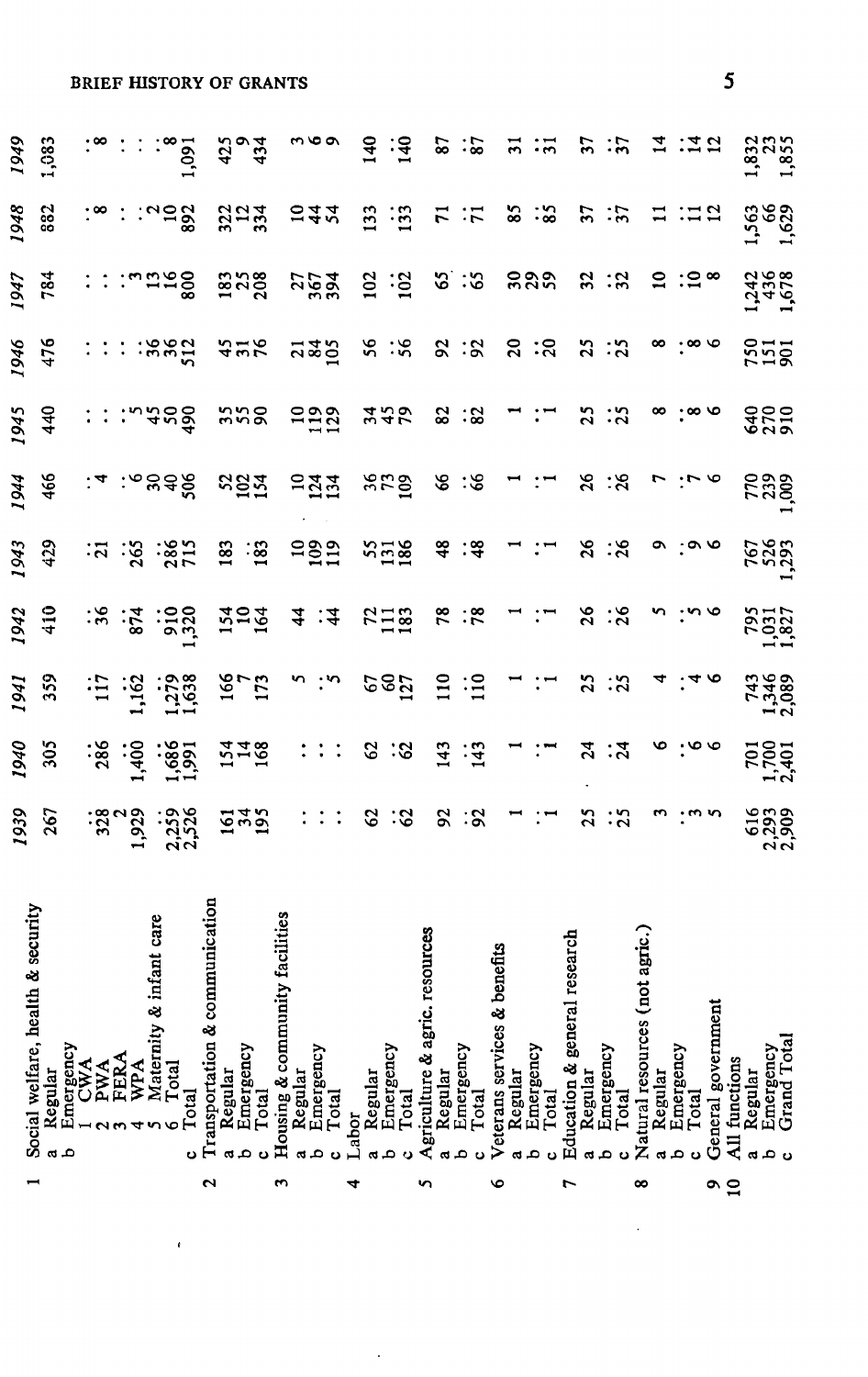|  | <b>BRIEF HISTORY OF GRANTS</b> |  |
|--|--------------------------------|--|
|  |                                |  |

|                                         |                | <b>BRIEF HISTORY OF GRANTS</b>                                                                                                  |                       |                                                |                 |                                |                                 |       |                                   |                                             |                               |       |                  |                                 |                                |                   |                    |                                  |                |                         |                                   |                  |                         |                                   |                |                         |                    | 5              |                     |                                              |  |
|-----------------------------------------|----------------|---------------------------------------------------------------------------------------------------------------------------------|-----------------------|------------------------------------------------|-----------------|--------------------------------|---------------------------------|-------|-----------------------------------|---------------------------------------------|-------------------------------|-------|------------------|---------------------------------|--------------------------------|-------------------|--------------------|----------------------------------|----------------|-------------------------|-----------------------------------|------------------|-------------------------|-----------------------------------|----------------|-------------------------|--------------------|----------------|---------------------|----------------------------------------------|--|
| 1949                                    | 1,083          |                                                                                                                                 |                       | $\frac{1001}{9}$                               |                 |                                | $rac{43}{43}$                   |       |                                   | $m \varphi$                                 |                               |       | $\frac{140}{1}$  | ंड्                             |                                | $\boldsymbol{87}$ | : 2                |                                  | $\overline{5}$ | ःन                      |                                   | 57               | ंग                      |                                   |                | <u>:국업</u>              |                    |                |                     | 1,832<br>1.855<br>1.855<br>$\frac{28}{1.85}$ |  |
| 1948                                    | 882            |                                                                                                                                 |                       | ∷.,ంలో                                         |                 |                                | $\frac{23}{27}$                 |       |                                   | 542                                         |                               |       | 133              | $\ddot{5}$                      |                                | $\overline{r}$    | ः                  |                                  | $\frac{85}{2}$ | $\ddot{\mathbf{3}}$     |                                   | 37               | $\frac{1}{2}$           |                                   |                |                         |                    |                |                     | 1,563<br>1,629                               |  |
| 1947                                    | 784            | $\vdots$                                                                                                                        |                       | ີພສສອ                                          |                 |                                | 1878<br>208                     |       |                                   |                                             | 2554                          |       |                  | $\overline{5}$ : $\overline{5}$ |                                |                   | 2:3                |                                  |                | ຂຊຊ                     |                                   | 32               | ઃર                      |                                   |                | ສ :ສ∞                   |                    |                |                     | 12458                                        |  |
| 1946                                    | 476            | $\ddot{\phantom{0}}$                                                                                                            |                       | $\therefore$ $\frac{88}{2}$                    |                 |                                | 3.56                            |       |                                   |                                             | 222                           |       |                  | ង :ង                            |                                |                   | 8:8                |                                  |                | ន :ន                    |                                   | $\mathbf{S}$     | :័                      |                                   |                |                         |                    |                |                     | 525                                          |  |
| 1945                                    | 440            |                                                                                                                                 |                       |                                                |                 |                                | ສສສ                             |       |                                   |                                             | ដូង                           |       |                  | 255                             |                                | 82                | ∷జ                 |                                  |                |                         |                                   |                  | 3:3                     |                                   | ∞              | $\cdot \infty$ $\infty$ |                    |                |                     | 825                                          |  |
| 1944                                    | 466            |                                                                                                                                 |                       | ంజింద                                          |                 |                                | <b>xaz</b>                      |       |                                   |                                             | $2\overline{2}\overline{2}$   |       |                  | 863                             |                                | $\frac{8}{5}$     | ిన                 |                                  |                |                         |                                   | $\frac{26}{5}$   | :শ্ল                    |                                   | $\overline{1}$ |                         |                    |                |                     | <b>238</b>                                   |  |
| 1943                                    | 429            |                                                                                                                                 |                       | $\ddot{a}$ $\dddot{a}$ $\dddot{a}$ $\dddot{a}$ |                 |                                | $\frac{3}{182}$                 |       |                                   |                                             | 282                           |       |                  | 258                             |                                | 48                | ∶≆                 |                                  |                | $:$ $\blacksquare$      |                                   |                  | 3:8                     |                                   | $\bullet$      |                         |                    |                |                     | 767<br>526<br>1293                           |  |
| 1942                                    | 410            |                                                                                                                                 |                       |                                                |                 |                                | 254                             |       |                                   |                                             | $\frac{4}{3}$ : $\frac{4}{3}$ |       |                  | 728                             |                                | 78                | $\cdot\frac{8}{5}$ |                                  |                |                         |                                   |                  | ង : <b>ន</b>            |                                   |                |                         |                    |                |                     | 795<br>1,031<br>1,827                        |  |
| 1941                                    | 359            | ίŗ                                                                                                                              | $\frac{1}{2}$         |                                                | $\frac{1}{638}$ |                                | $\frac{5}{20}$                  |       |                                   |                                             | $\omega$ : $\omega$           |       |                  | 222                             |                                | $\frac{1}{2}$     | ∷¤                 |                                  |                | $\mathbf{H}$            |                                   | 25               | $\ddot{5}$              |                                   |                |                         |                    |                |                     | 7389<br>1346<br>743                          |  |
| 1940                                    | 305            | $\frac{38}{2}$                                                                                                                  | 1,400                 |                                                | 1,685           |                                | $\frac{748}{3}$                 |       |                                   |                                             | $\mathbb{R}^{n}$              |       | $\boldsymbol{c}$ | :ଓ                              |                                | 143               | $\frac{143}{1}$    |                                  |                |                         |                                   | $\boldsymbol{z}$ | ়ন্ন                    |                                   |                |                         |                    |                |                     | 701<br>1,700<br>2,401                        |  |
| 1939                                    | 267            | $\ddot{32}$                                                                                                                     | <sup>ر</sup><br>1,929 |                                                | 2,259           |                                | $\frac{542}{54}$                |       |                                   | ÷                                           | $\vdots$ :                    |       | $\mathcal{L}$    | :ଓ                              |                                |                   | 8:8                |                                  |                | AC.                     |                                   | 25               | $\ddot{5}$              |                                   |                |                         |                    |                |                     | 616<br>2,399<br>2,309                        |  |
| security<br>ż<br>Social welfare, health | Regular<br>a A | $\begin{array}{lcl} & \text{Energy} \\ \text{1} & \text{CWA} \\ \text{2} & \text{PWA} \\ \text{3} & \text{FERA} \\ \end{array}$ | WPA                   | Maternity & infant care<br>Total<br>৩          | Total<br>ပ      | Transportation & communication | Emergency<br>Regular<br>م<br>c¢ | Total | facilities<br>Housing & community | Regular<br>Emergency<br>م<br>$\mathfrak{a}$ | Total<br>Ο                    | Labor | Regular          | Emergency<br>Total              | Agriculture & agric. resources | Regular           | Emergency<br>Total | efits<br>Veterans services & ben | Regular<br>ದ   | Emergency<br>Total<br>۵ | search<br>Education & general res | Regular<br>αt    | Emergency<br>Total<br>υ | agric.)<br>Natural resources (not | Regular        | Emergency<br>Total      | General government | All functions  | Regular<br><b>a</b> | Emergency<br>Grand Total<br>م<br>ಲ           |  |
|                                         |                |                                                                                                                                 |                       |                                                |                 | Z                              |                                 |       | m                                 |                                             |                               | 4     |                  |                                 | n                              |                   |                    | $\bullet$                        |                |                         | r                                 |                  |                         | $\infty$                          |                |                         | a                  | $\overline{1}$ |                     |                                              |  |

 $\cdot$ 

 $\pmb{\epsilon}$ 

ł,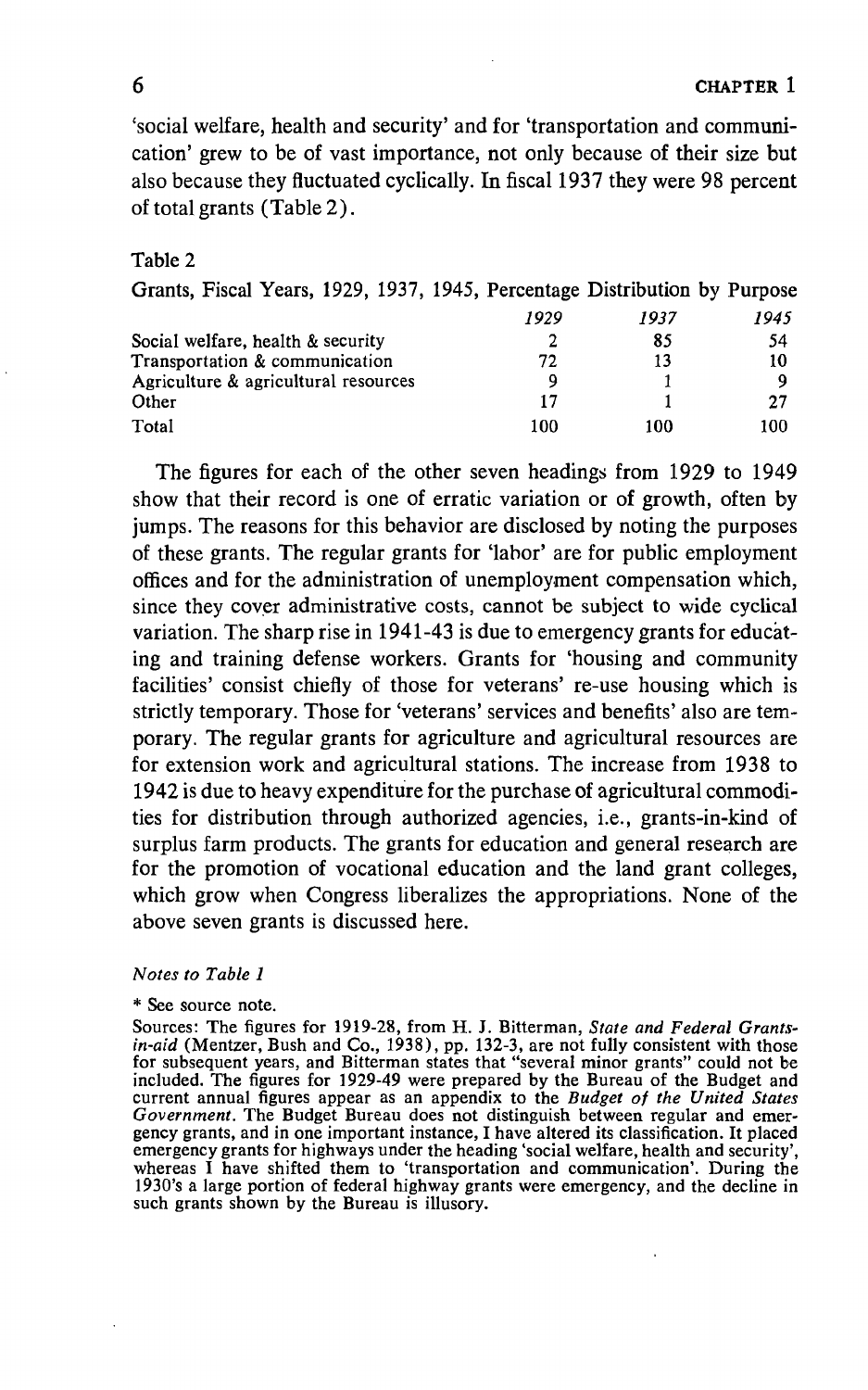6 CHAPTER 1

'social welfare, health and security' and for 'transportation and communication' grew to be of vast importance, not only because of their size but also because they fluctuated cyclically. In fiscal 1937 they were 98 percent of total grants (Table 2).

#### Table 2

| Grants, Fiscal Years, 1929, 1937, 1945, Percentage Distribution by Purpose |      |      |      |
|----------------------------------------------------------------------------|------|------|------|
|                                                                            | 1929 | 1937 | 1945 |
| Social welfare, health & security                                          | 2    | 85   | 54   |
| Transportation & communication                                             | 72   | 13   | 10   |
| Agriculture & agricultural resources                                       | 9    |      | Q    |
| Other                                                                      | 17   |      | 27   |
| Total                                                                      | 100  | 100  | 100  |

The figures for each of the other seven headings from 1929 to 1949 show that their record is one of erratic variation or of growth, often by jumps. The reasons for this behavior are disclosed by noting the purposes of these grants. The regular grants for 'labor' are for public employment offices and for the administration of unemployment compensation which, since they cover administrative costs, cannot be subject to wide cyclical variation. The sharp rise in 1941-43 is due to emergency grants for educating and training defense workers. Grants for 'housing and community facilities' consist chiefly of those for veterans' re-use housing which is strictly temporary. Those for 'veterans' services and benefits' also are temporary. The regular grants for agriculture and agricultural resources are for extension work and agricultural stations. The increase from 1938 to 1942 is due to heavy expenditure for the purchase of agricultural commodities for distribution through authorized agencies, i.e., grants-in-kind of surplus farm products. The grants for education and general research are for the promotion of vocational education and the land grant colleges, which grow when Congress liberalizes the appropriations. None of the above seven grants is discussed here.

#### Notes to Table 1

#### \* See source note.

Sources: The figures for 1919-28, from H. J. Bitterman, State and Federal Grantsin-aid (Mentzer, Bush and Co., 1938), pp. 132-3, are not fully consistent with those for subsequent years, and Bitterman states that "several minor grants" could not be included. The figures for 1929-49 were prepared by the Bureau of the Budget and current annual figures appear as an appendix to the Budget of the United States Government. The Budget Bureau does not distinguish between regular and emergency grants, and in one important instance, I have altered its classification. It placed emergency grants for highways under the heading 'social welfare, health and security', whereas I have shifted them to 'transportation and communication'. During the 1930's a large portion of federal highway grants were emergency, and the decline in such grants shown by the Bureau is illusory.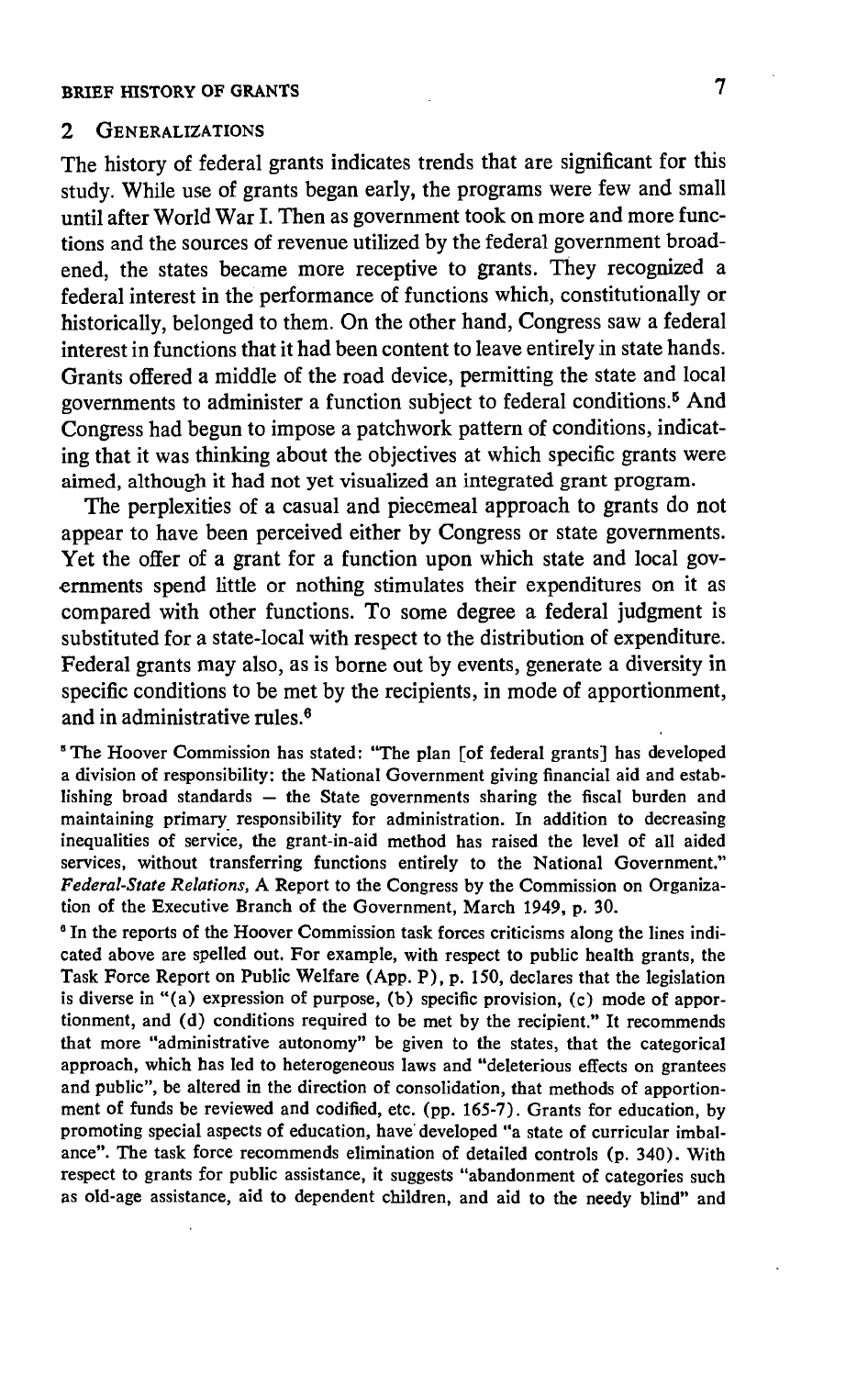#### 2 GENERALIZATIONS

The history of federal grants indicates trends that are significant for this study. While use of grants began early, the programs were few and small until after World War I. Then as government took on more and more functions and the sources of revenue utilized by the federal government broadened, the states became more receptive to grants. They recognized a federal interest in the performance of functions which, constitutionally or historically, belonged to them. On the other hand, Congress saw a federal interest in functions that it had been content to leave entirely in state hands. Grants offered a middle of the road device, permitting the state and local governments to administer a function subject to federal conditions.5 And Congress had begun to impose a patchwork pattern of conditions, indicating that it was thinking about the objectives at which specific grants were aimed, although it had not yet visualized an integrated grant program.

The perplexities of a casual and piecemeal approach to grants do not appear to have been perceived either by Congress or state governments. Yet the offer of a grant for a function upon which state and local governments spend little or nothing stimulates their expenditures on it as compared with other functions. To some degree a federal judgment is substituted for a state-local with respect to the distribution of expenditure. Federal grants may also, as is borne out by events, generate a diversity in specific conditions to be met by the recipients, in mode of apportionment, and in administrative rules.°

The Hoover Commission has stated: "The plan [of federal grants] has developed a division of responsibility: the National Government giving financial aid and establishing broad standards — the State governments sharing the fiscal burden and maintaining primary responsibility for administration. In addition to decreasing inequalities of service, the grant-in-aid method has raised the level of all aided services, without transferring functions entirely to the National Government." Federal-State Relations, A Report to the Congress by the Commission on Organization of the Executive Branch of the Government, March 1949, p. 30.

<sup>6</sup> In the reports of the Hoover Commission task forces criticisms along the lines indicated above are spelled out. For example, with respect to public health grants, the Task Force Report on Public Welfare (App. P), p. 150, declares that the legislation is diverse in "(a) expression of purpose, (b) specific provision, (c) mode of apportionment, and (d) conditions required to be met by the recipient." It recommends that more "administrative autonomy" be given to the states, that the categorical approach, which has led to heterogeneous laws and "deleterious effects on grantees and public", be altered in the direction of consolidation, that methods of apportionment of funds be reviewed and codified, etc. (pp. 165-7). Grants for education, by promoting special aspects of education, have developed "a state of curricular imbalance". The task force recommends elimination of detailed controls (p. 340). With respect to grants for public assistance, it suggests "abandonment of categories such as old-age assistance, aid to dependent children, and aid to the needy blind" and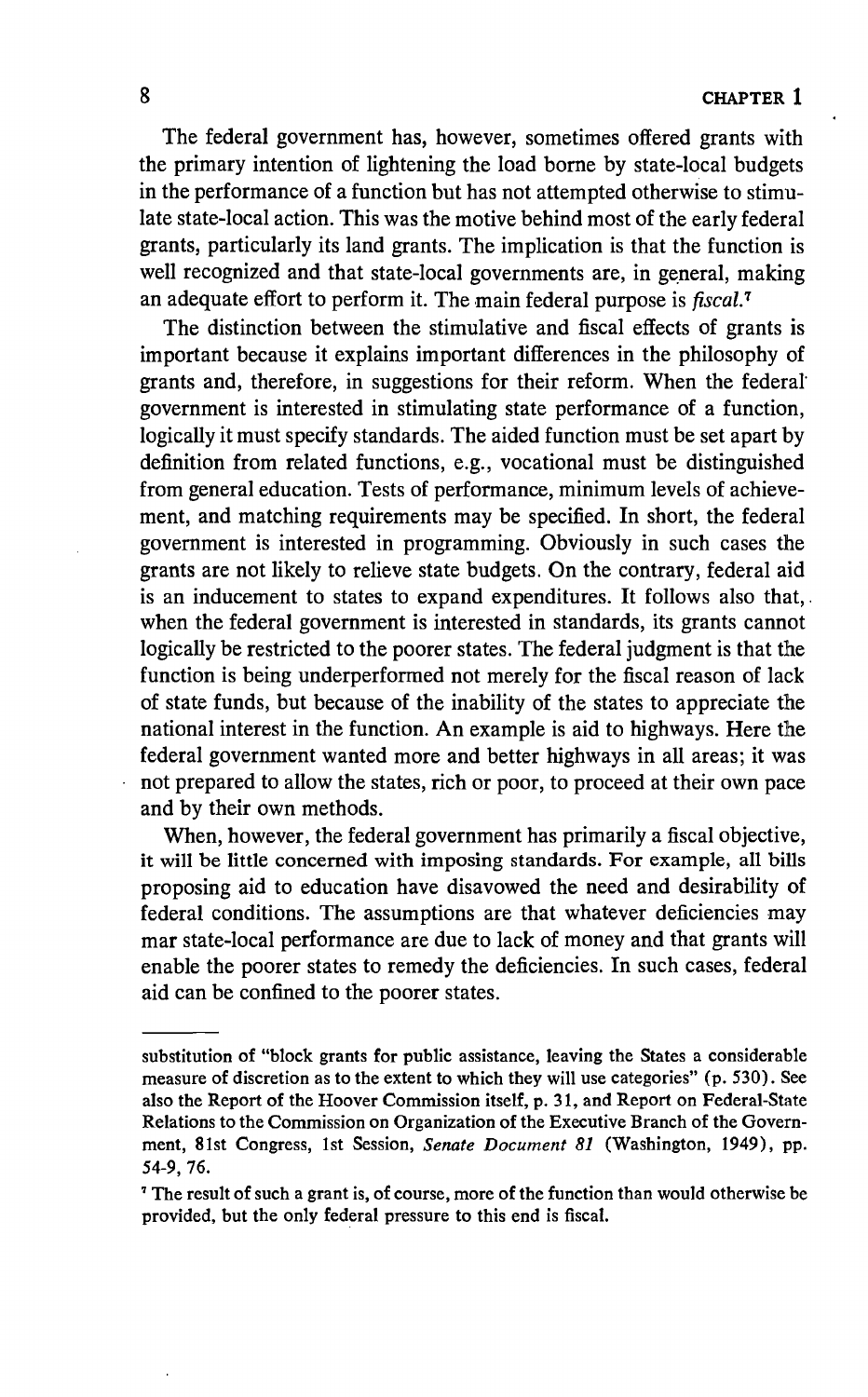The federal government has, however, sometimes offered grants with the primary intention of lightening the load borne by state-local budgets in the performance of a function but has not attempted otherwise to stimulate state-local action. This was the motive behind most of the early federal grants, particularly its land grants. The implication is that the function is well recognized and that state-local governments are, in general, making an adequate effort to perform it. The main federal purpose is fiscal.7

The distinction between the stimulative and fiscal effects of grants is important because it explains important differences in the philosophy of grants and, therefore, in suggestions for their reform. When the federal government is interested in stimulating state performance of a function, logically it must specify standards. The aided function must be set apart by definition from related functions, e.g., vocational must be distinguished from general education. Tests of performance, minimum levels of achievement, and matching requirements may be specified. In short, the federal government is interested in programming. Obviously in such cases the grants are not likely to relieve state budgets. On the contrary, federal aid is an inducement to states to expand expenditures. It follows also that, when the federal government is interested in standards, its grants cannot logically be restricted to the poorer states. The federal judgment is that the function is being underperformed not merely for the fiscal reason of lack of state funds, but because of the inability of the states to appreciate the national interest in the function. An example is aid to highways. Here the federal government wanted more and better highways in all areas; it was not prepared to allow the states, rich or poor, to proceed at their own pace and by their own methods.

When, however, the federal government has primarily a fiscal objective, it will be little concerned with imposing standards. For example, all bills proposing aid to education have disavowed the need and desirability of federal conditions. The assumptions are that whatever deficiencies may mar state-local performance are due to lack of money and that grants will enable the poorer states to remedy the deficiencies. In such cases, federal aid can be confined to the poorer states.

substitution of "block grants for public assistance, leaving the States a considerable measure of discretion as to the extent to which they will use categories" (p. 530). See also the Report of the Hoover Commission itself, p. 31, and Report on Federal-State Relations to the Commission on Organization of the Executive Branch of the Government, 81st Congress, 1st Session, Senate Document 81 (Washington, 1949), pp. 54-9, 76.

The result of such a grant is, of course, more of the function than would otherwise be provided, but the only federal pressure to this end is fiscal.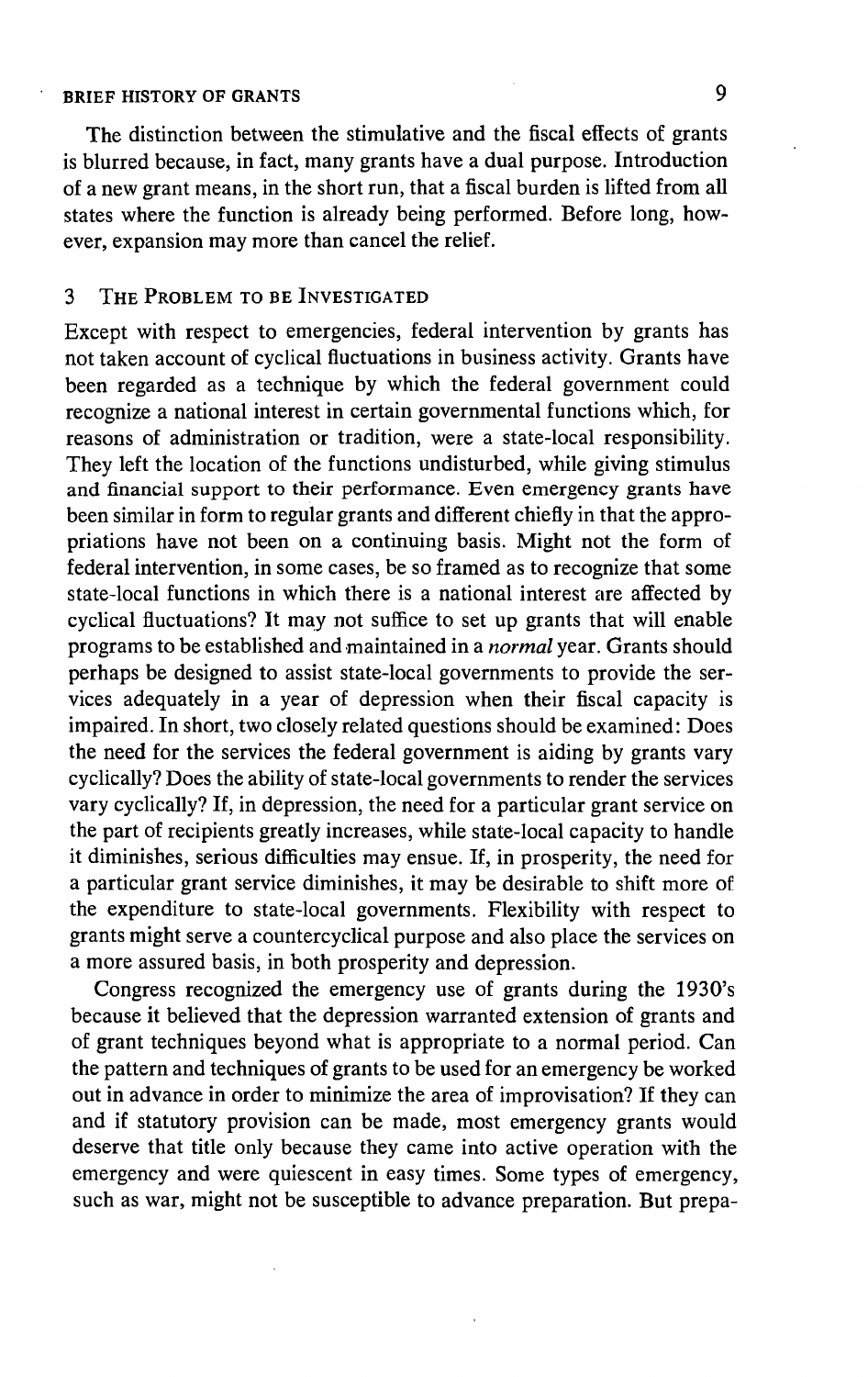# BRIEF HISTORY OF GRANTS 9

The distinction between the stimulative and the fiscal effects of grants is blurred because, in fact, many grants have a dual purpose. Introduction of a new grant means, in the short run, that a fiscal burden is lifted from all states where the function is already being performed. Before long, however, expansion may more than cancel the relief.

# 3 THE PROBLEM TO BE INVESTIGATED

Except with respect to emergencies, federal intervention by grants has not taken account of cyclical fluctuations in business activity. Grants have been regarded as a technique by which the federal government could recognize a national interest in certain governmental functions which, for reasons of administration or tradition, were a state-local responsibility. They left the location of the functions undisturbed, while giving stimulus and financial support to their performance. Even emergency grants have been similar in form to regular grants and different chiefly in that the appropriations have not been on a continuing basis. Might not the form of federal intervention, in some cases, be so framed as to recognize that some state-local functions in which there is a national interest are affected by cyclical fluctuations? It may not suffice to set up grants that will enable programs to be established and maintained in a *normal* year. Grants should perhaps be designed to assist state-local governments to provide the services adequately in a year of depression when their fiscal capacity is impaired. In short, two closely related questions should be examined: Does the need for the services the federal government is aiding by grants vary cyclically? Does the ability of state-local governments to render the services vary cyclically? If, in depression, the need for a particular grant service on the part of recipients greatly increases, while state-local capacity to handle it diminishes, serious difficulties may ensue. If, in prosperity, the need for a particular grant service diminishes, it may be desirable to shift more of the expenditure to state-local governments. Flexibility with respect to grants might serve a countercyclical purpose and also place the services on a more assured basis, in both prosperity and depression.

Congress recognized the emergency use of grants during the 1930's because it believed that the depression warranted extension of grants and of grant techniques beyond what is appropriate to a normal period. Can the pattern and techniques of grants to be used for an emergency be worked out in advance in order to minimize the area of improvisation? If they can and if statutory provision can be made, most emergency grants would deserve that title only because they came into active operation with the emergency and were quiescent in easy times. Some types of emergency, such as war, might not be susceptible to advance preparation. But prepa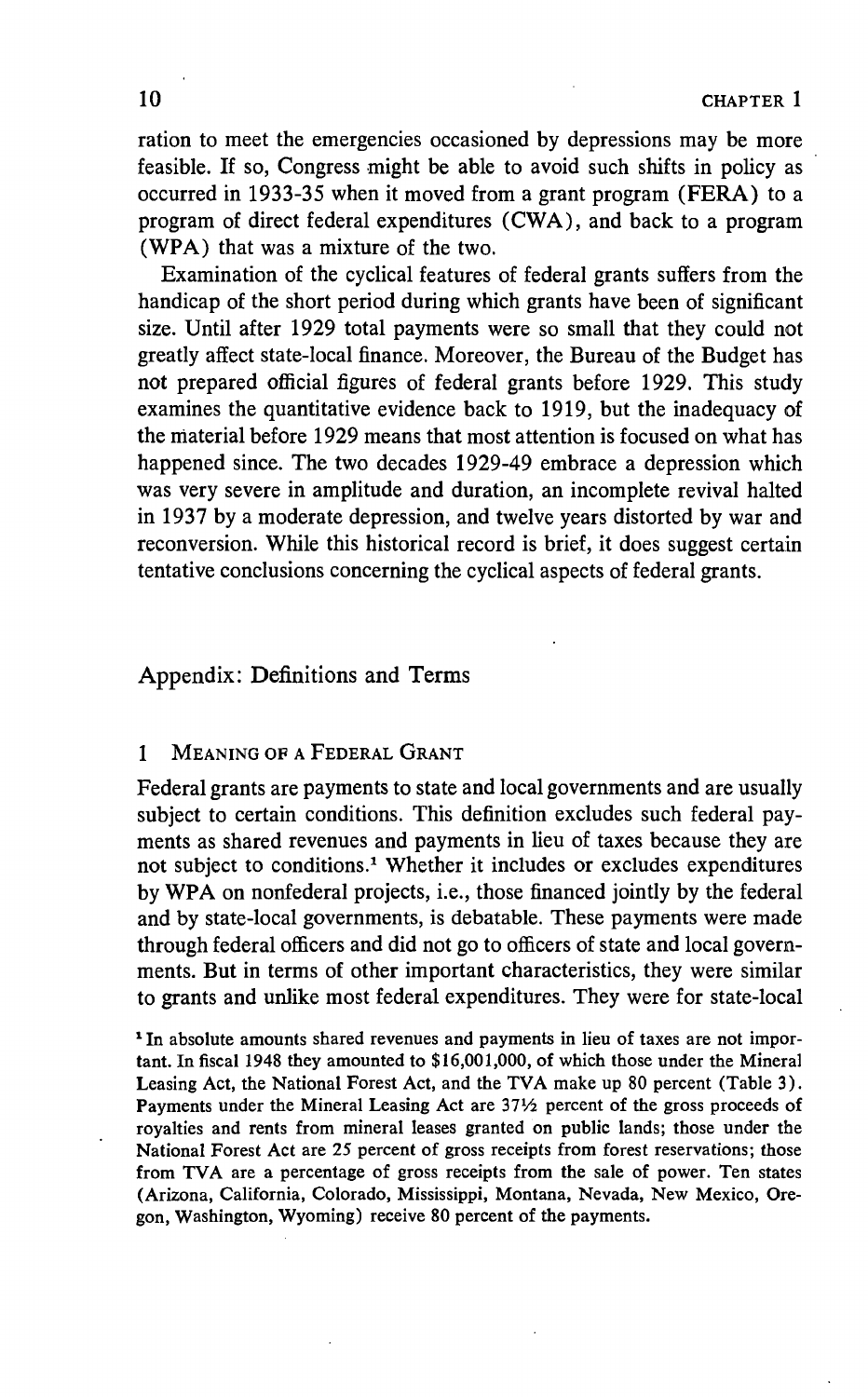ration to meet the emergencies occasioned by depressions may be more feasible. If so, Congress might be able to avoid such shifts in policy as occurred in 1933-35 when it moved from a grant program (FERA) to a program of direct federal expenditures (CWA), and back to a program (WPA) that was a mixture of the two.

Examination of the cyclical features of federal grants suffers from the handicap of the short period during which grants have been of significant size. Until after 1929 total payments were so small that they could not greatly affect state-local finance. Moreover, the Bureau of the Budget has not prepared official figures of federal grants before 1929. This study examines the quantitative evidence back to 1919, but the inadequacy of the material before 1929 means that most attention is focused on what has happened since. The two decades 1929-49 embrace a depression which was very severe in amplitude and duration, an incomplete revival halted in 1937 by a moderate depression, and twelve years distorted by war and reconversion. While this historical record is brief, it does suggest certain tentative conclusions concerning the cyclical aspects of federal grants.

# Appendix: Definitions and Terms

### <sup>1</sup> MEANING OF A FEDERAL GRANT

Federal grants are payments to state and local governments and are usually subject to certain conditions. This definition excludes such federal payments as shared revenues and payments in lieu of taxes because they are not subject to conditions.1 Whether it includes or excludes expenditures by WPA on nonfederal projects, i.e., those financed jointly by the federal and by state-local governments, is debatable. These payments were made through federal officers and did not go to officers of state and local governments. But in terms of other important characteristics, they were similar to grants and unlike most federal expenditures. They were for state-local

<sup>1</sup> In absolute amounts shared revenues and payments in lieu of taxes are not important. In fiscal 1948 they amounted to \$16,001,000, of which those under the Mineral Leasing Act, the National Forest Act, and the TVA make up 80 percent (Table 3). Payments under the Mineral Leasing Act are 37½ percent of the gross proceeds of royalties and rents from mineral leases granted on public lands; those under the National Forest Act are 25 percent of gross receipts from forest reservations; those from TVA are a percentage of gross receipts from the sale of power. Ten states (Arizona, California, Colorado, Mississippi, Montana, Nevada, New Mexico, Oregon, Washington, Wyoming) receive 80 percent of the payments.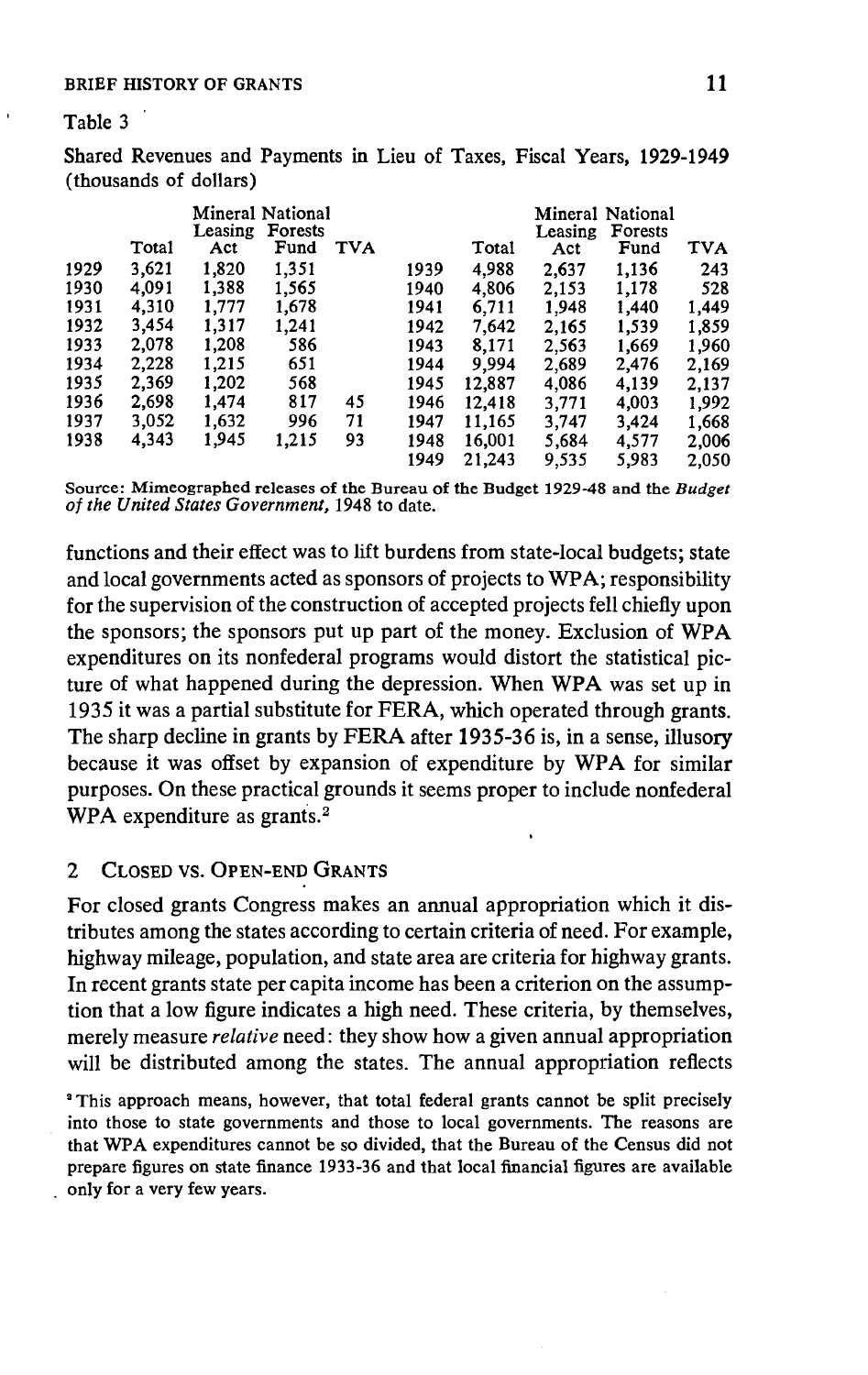#### BRIEF HISTORY OF GRANTS 11

#### Table 3

|      |       | (thousands of dollars) |                                            |            |              |                  | Shared Revenues and Payments in Lieu of Taxes, Fiscal Years, 1929-1949 |                                            |                |
|------|-------|------------------------|--------------------------------------------|------------|--------------|------------------|------------------------------------------------------------------------|--------------------------------------------|----------------|
|      | Total | Leasing<br>Act         | Mineral National<br><b>Forests</b><br>Fund | <b>TVA</b> |              | Total            | Leasing<br>Act                                                         | Mineral National<br><b>Forests</b><br>Fund | <b>TVA</b>     |
| 1929 | 3.621 | 1,820                  | 1.351                                      |            | 1939         | 4,988            | 2,637                                                                  | 1,136                                      | 243            |
| 1930 | 4.091 | 1,388                  | 1,565                                      |            | 1940         | 4,806            | 2,153                                                                  | 1,178                                      | 528            |
| 1931 | 4,310 | 1,777                  | 1,678                                      |            | 1941         | 6.711            | 1,948                                                                  | 1,440                                      | 1,449          |
| 1932 | 3,454 | 1.317                  | 1.241                                      |            | 1942         | 7,642            | 2.165                                                                  | 1,539                                      | 1,859          |
| 1933 | 2.078 | 1,208                  | 586                                        |            | 1943         | 8,171            | 2,563                                                                  | 1,669                                      | 1,960          |
| 1934 | 2.228 | 1.215                  | 651                                        |            | 1944         | 9,994            | 2,689                                                                  | 2,476                                      | 2,169          |
| 1935 | 2,369 | 1,202                  | 568                                        |            | 1945         | 12,887           | 4,086                                                                  | 4,139                                      | 2.137          |
| 1936 | 2,698 | 1,474                  | 817                                        | 45         | 1946         | 12,418           | 3,771                                                                  | 4,003                                      | 1,992          |
| 1937 | 3,052 | 1,632                  | 996                                        | 71         | 1947         | 11,165           | 3,747                                                                  | 3,424                                      | 1,668          |
| 1938 | 4,343 | 1,945                  | 1,215                                      | 93         | 1948<br>1949 | 16,001<br>21,243 | 5,684<br>9,535                                                         | 4,577<br>5,983                             | 2,006<br>2,050 |

Source: Mimeographed releases of the Bureau of the Budget 1929-48 and the Budget of the United States Government, 1948 to date.

functions and their effect was to lift burdens from state-local budgets; state and local governments acted as sponsors of projects to WPA; responsibility for the supervision of the construction of accepted projects fell chiefly upon the sponsors; the sponsors put up part of the money. Exclusion of WPA expenditures on its nonfederal programs would distort the statistical picture of what happened during the depression. When WPA was set up in 1935 it was a partial substitute for FERA, which operated through grants. The sharp decline in grants by FERA after 1935-36 is, in a sense, illusory because it was offset by expansion of expenditure by WPA for similar purposes. On these practical grounds it seems proper to include nonfederal WPA expenditure as grants.<sup>2</sup>

# 2 CLOSED VS. OPEN-END GRANTS

For closed grants Congress makes an annual appropriation which it distributes among the states according to certain criteria of need. For example, highway mileage, population, and state area are criteria for highway grants. In recent grants state per capita income has been a criterion on the assumption that a low figure indicates a high need. These criteria, by themselves, merely measure relative need: they show how a given annual appropriation will be distributed among the states. The annual appropriation reflects

<sup>2</sup> This approach means, however, that total federal grants cannot be split precisely into those to state governments and those to local governments. The reasons are that WPA expenditures cannot be so divided, that the Bureau of the Census did not prepare figures on state finance 1933-36 and that local financial figures are available only for a very few years.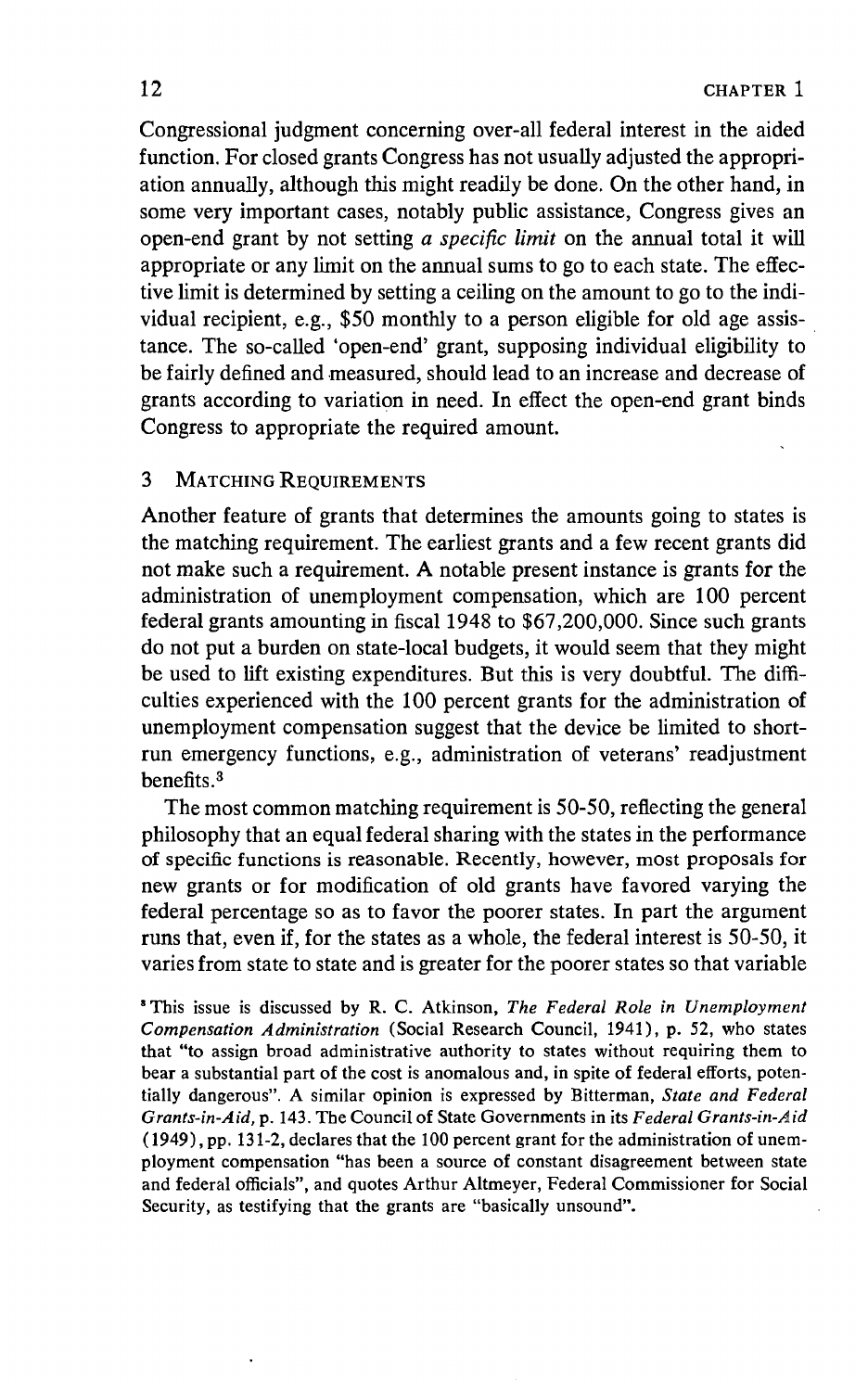Congressional judgment concerning over-all federal interest in the aided function. For closed grants Congress has not usually adjusted the appropriation annually, although this might readily be done. On the other hand, in some very important cases, notably public assistance, Congress gives an open-end grant by not setting a specific limit on the annual total it will appropriate or any limit on the annual sums to go to each state. The effective limit is determined by setting a ceiling on the amount to go to the individual recipient, e.g., \$50 monthly to a person eligible for old age assistance. The so-called 'open-end' grant, supposing individual eligibility to be fairly defined and measured, should lead to an increase and decrease of grants according to variation in need. In effect the open-end grant binds Congress to appropriate the required amount.

# **3 MATCHING REQUIREMENTS**

Another feature of grants that determines the amounts going to states is the matching requirement. The earliest grants and a few recent grants did not make such a requirement. A notable present instance is grants for the administration of unemployment compensation, which are 100 percent federal grants amounting in fiscal 1948 to \$67,200,000. Since such grants do not put a burden on state-local budgets, it would seem that they might be used to lift existing expenditures. But this is very doubtful. The difficulties experienced with the 100 percent grants for the administration of unemployment compensation suggest that the device be limited to shortrun emergency functions, e.g., administration of veterans' readjustment benefits.3

The most common matching requirement is 50-50, reflecting the general philosophy that an equal federal sharing with the states in the performance of specific functions is reasonable. Recently, however, most proposals for new grants or for modification of old grants have favored varying the federal percentage so as to favor the poorer states. In part the argument runs that, even if, for the states as a whole, the federal interest is 50-50, it varies from state to state and is greater for the poorer states so that variable

<sup>&</sup>lt;sup>8</sup> This issue is discussed by R. C. Atkinson, The Federal Role in Unemployment Compensation Administration (Social Research Council, 1941), P. 52, who states that "to assign broad administrative authority to states without requiring them to bear a substantial part of the cost is anomalous and, in spite of federal efforts, potentially dangerous". A similar opinion is expressed by Bitterman, State and Federal Grants-in-Aid, p. 143. The Council of State Governments in its Federal Grants-in-Aid (1949), Pp. 131-2, declares that the 100 percent grant for the administration of unemployment compensation "has been a source of constant disagreement between state and federal officials", and quotes Arthur Altmeyer, Federal Commissioner for Social Security, as testifying that the grants are "basically unsound".